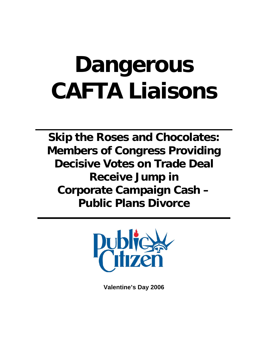# **Dangerous CAFTA Liaisons**

**Skip the Roses and Chocolates: Members of Congress Providing Decisive Votes on Trade Deal Receive Jump in Corporate Campaign Cash – Public Plans Divorce** 



**Valentine's Day 2006**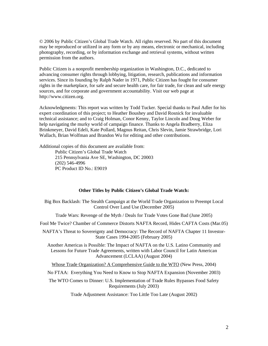© 2006 by Public Citizen's Global Trade Watch. All rights reserved. No part of this document may be reproduced or utilized in any form or by any means, electronic or mechanical, including photography, recording, or by information exchange and retrieval systems, without written permission from the authors.

Public Citizen is a nonprofit membership organization in Washington, D.C., dedicated to advancing consumer rights through lobbying, litigation, research, publications and information services. Since its founding by Ralph Nader in 1971, Public Citizen has fought for consumer rights in the marketplace, for safe and secure health care, for fair trade, for clean and safe energy sources, and for corporate and government accountability. Visit our web page at http://www.citizen.org.

Acknowledgments: This report was written by Todd Tucker. Special thanks to Paul Adler for his expert coordination of this project; to Heather Boushey and David Rosnick for invaluable technical assistance; and to Craig Holman, Conor Kenny, Taylor Lincoln and Doug Weber for help navigating the murky world of campaign finance. Thanks to Angela Bradberry, Eliza Brinkmeyer, David Edeli, Kate Pollard, Magnus Reitan, Chris Slevin, Jamie Strawbridge, Lori Wallach, Brian Wolfman and Brandon Wu for editing and other contributions.

Additional copies of this document are available from: Public Citizen's Global Trade Watch 215 Pennsylvania Ave SE, Washington, DC 20003 (202) 546-4996 PC Product ID No.: E9019

#### **Other Titles by Public Citizen's Global Trade Watch:**

Big Box Backlash: The Stealth Campaign at the World Trade Organization to Preempt Local Control Over Land Use (December 2005)

Trade Wars: Revenge of the Myth / Deals for Trade Votes Gone Bad (June 2005)

Fool Me Twice? Chamber of Commerce Distorts NAFTA Record, Hides CAFTA Costs (Mar.05)

NAFTA's Threat to Sovereignty and Democracy: The Record of NAFTA Chapter 11 Investor-State Cases 1994-2005 (February 2005)

Another Americas is Possible: The Impact of NAFTA on the U.S. Latino Community and Lessons for Future Trade Agreements, written with Labor Council for Latin American Advancement (LCLAA) (August 2004)

Whose Trade Organization? A Comprehensive Guide to the WTO (New Press, 2004)

No FTAA: Everything You Need to Know to Stop NAFTA Expansion (November 2003)

The WTO Comes to Dinner: U.S. Implementation of Trade Rules Bypasses Food Safety Requirements (July 2003)

Trade Adjustment Assistance: Too Little Too Late (August 2002)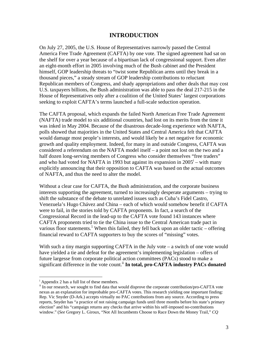## **INTRODUCTION**

On July 27, 2005, the U.S. House of Representatives narrowly passed the Central America Free Trade Agreement (CAFTA) by one vote. The signed agreement had sat on the shelf for over a year because of a bipartisan lack of congressional support. Even after an eight-month effort in 2005 involving much of the Bush cabinet and the President himself, GOP leadership threats to "twist some Republican arms until they break in a thousand pieces," a steady stream of GOP leadership contributions to reluctant Republican members of Congress, and shady appropriations and other deals that may cost U.S. taxpayers billions, the Bush administration was able to pass the deal 217-215 in the House of Representatives only after a coalition of the United States' largest corporations seeking to exploit CAFTA's terms launched a full-scale seduction operation.

The CAFTA proposal, which expands the failed North American Free Trade Agreement (NAFTA) trade model to six additional countries, had lost on its merits from the time it was inked in May 2004. Because of the disastrous decade-long experience with NAFTA, polls showed that majorities in the United States and Central America felt that CAFTA would damage most people's interests, and would likely be a net negative for economic growth and quality employment. Indeed, for many in and outside Congress, CAFTA was considered a referendum on the NAFTA model itself – a point not lost on the two and a half dozen long-serving members of Congress who consider themselves "free traders" and who had voted for NAFTA in 1993 but against its expansion in  $2005^{\mathrm{i}}$  – with many explicitly announcing that their opposition to CAFTA was based on the actual outcomes of NAFTA, and thus the need to alter the model.

Without a clear case for CAFTA, the Bush administration, and the corporate business interests supporting the agreement, turned to increasingly desperate arguments – trying to shift the substance of the debate to unrelated issues such as Cuba's Fidel Castro, Venezuela's Hugo Chávez and China – each of which would somehow benefit if CAFTA were to fail, in the stories told by CAFTA proponents. In fact, a search of the Congressional Record in the lead-up to the CAFTA vote found 143 instances where CAFTA proponents tried to tie the China issue to the Central American trade pact in various floor statements.<sup>[1](#page-35-0)</sup> When this failed, they fell back upon an older tactic – offering financial reward to CAFTA supporters to buy the scores of "missing" votes.

With such a tiny margin supporting CAFTA in the July vote – a switch of one vote would have yielded a tie and defeat for the agreement's implementing legislation – offers of future largesse from corporate political action committees (PACs) stood to make a significant difference in the vote count.<sup>[ii](#page-2-1)</sup> In total, pro-CAFTA industry PACs donated

<span id="page-2-0"></span><sup>&</sup>lt;sup>i</sup> Appendix 2 has a full list of these members.

<span id="page-2-1"></span><sup>&</sup>lt;sup>ii</sup> In our research, we sought to find data that would disprove the corporate contribution/pro-CAFTA vote nexus as an explanation for improbable pro-CAFTA votes. This research yielding one important finding: Rep. Vic Snyder (D-Ark.) accepts virtually no PAC contributions from any source. According to press reports, Snyder has "a practice of not raising campaign funds until three months before his state's primary election" and his "campaign returns any checks that arrive within his self-imposed no-contributions window." (*See* Gregory L. Giroux, "Not All Incumbents Choose to Race Down the Money Trail," *CQ*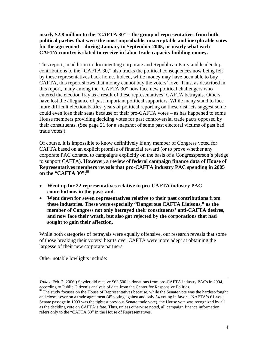#### **nearly \$2.8 million to the "CAFTA 30" – the group of representatives from both political parties that were the most improbable, unacceptable and inexplicable votes for the agreement – during January to September 2005, or nearly what each CAFTA country is slated to receive in labor trade capacity building money.**

This report, in addition to documenting corporate and Republican Party and leadership contributions to the "CAFTA 30," also tracks the political consequences now being felt by these representatives back home. Indeed, while money may have been able to buy CAFTA, this report shows that money cannot buy the voters' love. Thus, as described in this report, many among the "CAFTA 30" now face new political challengers who entered the election fray as a result of these representatives' CAFTA betrayals. Others have lost the allegiance of past important political supporters. While many stand to face more difficult election battles, years of political reporting on these districts suggest some could even lose their seats because of their pro-CAFTA votes – as has happened to some House members providing deciding votes for past controversial trade pacts opposed by their constituents. (See page 21 for a snapshot of some past electoral victims of past bad trade votes.)

Of course, it is impossible to know definitively if any member of Congress voted for CAFTA based on an explicit promise of financial reward (or to prove whether any corporate PAC donated to campaigns explicitly on the basis of a Congressperson's pledge to support CAFTA). **However, a review of federal campaign finance data of House of Representatives members reveals that pro-CAFTA industry PAC spending in 2005 on the "CAFTA 30":[iii](#page-3-0)**

- **Went up for 22 representatives relative to pro-CAFTA industry PAC contributions in the past; and**
- **Went down for seven representatives relative to their past contributions from these industries. These were especially "Dangerous CAFTA Liaisons," as the member of Congress not only betrayed their constituents' anti-CAFTA desires, and now face their wrath, but also got rejected by the corporations that had sought to gain their affection.**

While both categories of betrayals were equally offensive, our research reveals that some of those breaking their voters' hearts over CAFTA were more adept at obtaining the largesse of their new corporate partners.

Other notable lowlights include:

*Today,* Feb. 7, 2006.) Snyder did receive \$63,500 in donations from pro-CAFTA industry PACs in 2004, according to Public Citizen's analysis of data from the Center for Responsive Politics.<br>iii The study focuses on the House of Representatives because, while the Senate vote was the hardest-fought

<span id="page-3-0"></span>and closest-ever on a trade agreement (45 voting against and only 54 voting in favor – NAFTA's 61-vote Senate passage in 1993 was the tightest previous Senate trade vote), the House vote was recognized by all as the deciding vote on CAFTA's fate. Thus, unless otherwise noted, all campaign finance information refers only to the "CAFTA 30" in the House of Representatives.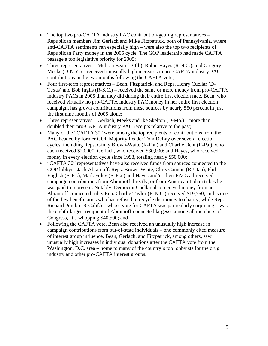- The top two pro-CAFTA industry PAC contribution-getting representatives Republican members Jim Gerlach and Mike Fitzpatrick, both of Pennsylvania, where anti-CAFTA sentiments ran especially high – were also the top two recipients of Republican Party money in the 2005 cycle. The GOP leadership had made CAFTA passage a top legislative priority for 2005;
- Three representatives Melissa Bean (D-Ill.), Robin Hayes (R-N.C.), and Gregory Meeks (D-N.Y.) – received unusually high increases in pro-CAFTA industry PAC contributions in the two months following the CAFTA vote;
- Four first-term representatives Bean, Fitzpatrick, and Reps. Henry Cuellar (D-Texas) and Bob Inglis (R-S.C.) – received the same or more money from pro-CAFTA industry PACs in 2005 than they did during their entire first election race. Bean, who received virtually no pro-CAFTA industry PAC money in her entire first election campaign, has grown contributions from these sources by nearly 550 percent in just the first nine months of 2005 alone;
- Three representatives Gerlach, Meeks and Ike Skelton (D-Mo.) more than doubled their pro-CAFTA industry PAC receipts relative to the past;
- Many of the "CAFTA 30" were among the top recipients of contributions from the PAC headed by former GOP Majority Leader Tom DeLay over several election cycles, including Reps. Ginny Brown-Waite (R-Fla.) and Charlie Dent (R-Pa.), who each received \$20,000; Gerlach, who received \$30,000; and Hayes, who received money in every election cycle since 1998, totaling nearly \$50,000;
- "CAFTA 30" representatives have also received funds from sources connected to the GOP lobbyist Jack Abramoff. Reps. Brown-Waite, Chris Cannon (R-Utah), Phil English (R-Pa.), Mark Foley (R-Fla.) and Hayes and/or their PACs all received campaign contributions from Abramoff directly, or from American Indian tribes he was paid to represent. Notably, Democrat Cuellar also received money from an Abramoff-connected tribe. Rep. Charlie Taylor (R-N.C.) received \$19,750, and is one of the few beneficiaries who has refused to recycle the money to charity, while Rep. Richard Pombo (R-Calif.) – whose vote for CAFTA was particularly surprising – was the eighth-largest recipient of Abramoff-connected largesse among all members of Congress, at a whopping \$40,500; and
- Following the CAFTA vote, Bean also received an unusually high increase in campaign contributions from out-of-state individuals – one commonly cited measure of interest group influence. Bean, Gerlach, and Fitzpatrick, among others, saw unusually high increases in individual donations after the CAFTA vote from the Washington, D.C. area – home to many of the country's top lobbyists for the drug industry and other pro-CAFTA interest groups.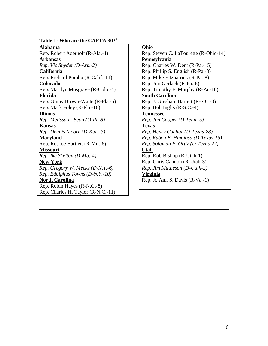#### Table 1: Who are the CAFTA 30?<sup>2</sup>

**Alabama**

Rep. Robert Aderholt (R-Ala.-4) **Arkansas** *Rep. Vic Snyder (D-Ark.-2)* **California** Rep. Richard Pombo (R-Calif.-11) **Colorado** Rep. Marilyn Musgrave (R-Colo.-4) **Florida** Rep. Ginny Brown-Waite (R-Fla.-5) Rep. Mark Foley (R-Fla.-16) **Illinois** *Rep. Melissa L. Bean (D-Ill.-8)* **Kansas** *Rep. Dennis Moore (D-Kan.-3)* **Maryland** Rep. Roscoe Bartlett (R-Md.-6) **Missouri** *Rep. Ike Skelton (D-Mo.-4)* **New York** *Rep. Gregory W. Meeks (D-N.Y.-6) Rep. Edolphus Towns (D-N.Y.-10)* **North Carolina** Rep. Robin Hayes (R-N.C.-8) Rep. Charles H. Taylor (R-N.C.-11)

Rep. Steven C. LaTourette (R-Ohio-14) **Pennsylvania** Rep. Charles W. Dent (R-Pa.-15) Rep. Phillip S. English (R-Pa.-3) Rep. Mike Fitzpatrick (R-Pa.-8) Rep. Jim Gerlach (R-Pa.-6) Rep. Timothy F. Murphy (R-Pa.-18) **South Carolina** Rep. J. Gresham Barrett (R-S.C.-3) Rep. Bob Inglis (R-S.C.-4) **Tennessee** *Rep. Jim Cooper (D-Tenn.-5)* **Texas** *Rep. Henry Cuellar (D-Texas-28) Rep. Ruben E. Hinojosa (D-Texas-15) Rep. Solomon P. Ortiz (D-Texas-27)* **Utah** Rep. Rob Bishop (R-Utah-1) Rep. Chris Cannon (R-Utah-3) *Rep. Jim Matheson (D-Utah-2)* **Virginia** Rep. Jo Ann S. Davis (R-Va.-1)

**Ohio**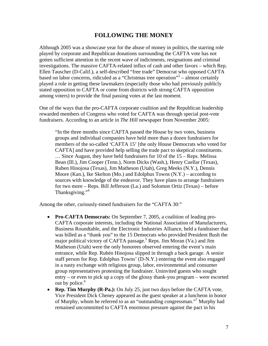## **FOLLOWING THE MONEY**

Although 2005 was a showcase year for the abuse of money in politics, the starring role played by corporate and Republican donations surrounding the CAFTA vote has not gotten sufficient attention in the recent wave of indictments, resignations and criminal investigations. The massive CAFTA-related influx of cash and other favors – which Rep. Ellen Tauscher (D-Calif.), a self-described "free trade" Democrat who opposed CAFTA based on labor concerns, ridiculed as a "Christmas tree operation"<sup>3</sup> – almost certainly played a role in getting these lawmakers (especially those who had previously publicly stated opposition to CAFTA or come from districts with strong CAFTA opposition among voters) to provide the final passing votes at the last moment.

One of the ways that the pro-CAFTA corporate coalition and the Republican leadership rewarded members of Congress who voted for CAFTA was through special post-vote fundraisers. According to an article in *The Hill* newspaper from November 2005:

"In the three months since CAFTA passed the House by two votes, business groups and individual companies have held more than a dozen fundraisers for members of the so-called 'CAFTA 15' [the only House Democrats who voted for CAFTA] and have provided help selling the trade pact to skeptical constituents. … Since August, they have held fundraisers for 10 of the 15 – Reps. Melissa Bean (Ill.), Jim Cooper (Tenn.), Norm Dicks (Wash.), Henry Cuellar (Texas), Ruben Hinojosa (Texas), Jim Matheson (Utah), Greg Meeks (N.Y.), Dennis Moore (Kan.), Ike Skelton (Mo.) and Edolphus Towns (N.Y.) – according to sources with knowledge of the endeavor. They have plans to arrange fundraisers for two more – Reps. Bill Jefferson (La.) and Solomon Ortiz (Texas) – before Thanksgiving."<sup>[4](#page-35-3)</sup>

Among the other, curiously-timed fundraisers for the "CAFTA 30:"

- **Pro-CAFTA Democrats:** On September 7, 2005, a coalition of leading pro-CAFTA corporate interests, including the National Association of Manufacturers, Business Roundtable, and the Electronic Industries Alliance, held a fundraiser that was billed as a "thank you" to the 15 Democrats who provided President Bush the major political victory of CAFTA passage.<sup>5</sup> Reps. Jim Moran (Va.) and Jim Matheson (Utah) were the only honorees observed entering the event's main entrance, while Rep. Rubén Hinojosa slipped in through a back garage. A senior staff person for Rep. Edolphus Towns' (D-N.Y.) entering the event also engaged in a nasty exchange with religious group, labor, environmental and consumer group representatives protesting the fundraiser. Uninvited guests who sought entry – or even to pick up a copy of the glossy thank-you program – were escorted out by police. $6$
- **Rep. Tim Murphy (R-Pa.):** On July 25, just two days before the CAFTA vote, Vice President Dick Cheney appeared as the guest speaker at a luncheon in honor of Murphy, whom he referred to as an "outstanding congressman."[7](#page-35-6) Murphy had remained uncommitted to CAFTA enormous pressure against the pact in his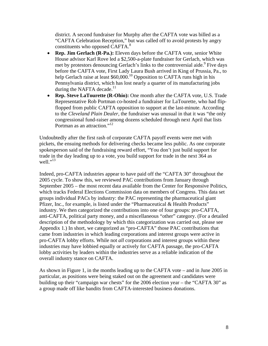district. A second fundraiser for Murphy after the CAFTA vote was billed as a "CAFTA Celebration Reception," but was called off to avoid protests by angry constituents who opposed CAFTA.<sup>[8](#page-35-7)</sup>

- **Rep. Jim Gerlach (R-Pa.):** Eleven days before the CAFTA vote, senior White House advisor Karl Rove led a \$2,500-a-plate fundraiser for Gerlach, which was met by protestors denouncing Gerlach's links to the controversial aide. <sup>[9](#page-35-8)</sup> Five days before the CAFTA vote, First Lady Laura Bush arrived in King of Prussia, Pa., to help Gerlach raise at least  $$60,000$ .<sup>10</sup> Opposition to CAFTA runs high in his Pennsylvania district, which has lost nearly a quarter of its manufacturing jobs during the NAFTA decade. $11$
- **Rep. Steve LaTourette (R-Ohio):** One month after the CAFTA vote, U.S. Trade Representative Rob Portman co-hosted a fundraiser for LaTourette, who had flipflopped from public CAFTA opposition to support at the last-minute. According to the *Cleveland Plain Dealer,* the fundraiser was unusual in that it was "the only congressional fund-raiser among dozens scheduled through next April that lists Portman as an attraction."<sup>[12](#page-35-11)</sup>

Undoubtedly after the first rash of corporate CAFTA payoff events were met with pickets, the ensuing methods for delivering checks became less public. As one corporate spokesperson said of the fundraising reward effort, "You don't just build support for trade in the day leading up to a vote, you build support for trade in the next 364 as well." $^{13}$ 

Indeed, pro-CAFTA industries appear to have paid off the "CAFTA 30" throughout the 2005 cycle. To show this, we reviewed PAC contributions from January through September 2005 – the most recent data available from the Center for Responsive Politics, which tracks Federal Elections Commission data on members of Congress. This data set groups individual PACs by industry: the PAC representing the pharmaceutical giant Pfizer, Inc., for example, is listed under the "Pharmaceutical & Health Products" industry. We then categorized the contributions into one of four groups: pro-CAFTA, anti-CAFTA, political party money, and a miscellaneous "other" category. (For a detailed description of the methodology by which this categorization was carried out, please see Appendix 1.) In short, we categorized as "pro-CAFTA" those PAC contributions that came from industries in which leading corporations and interest groups were active in pro-CAFTA lobby efforts. While not *all* corporations and interest groups within these industries may have lobbied equally or actively for CAFTA passage, the pro-CAFTA lobby activities by leaders within the industries serve as a reliable indication of the overall industry stance on CAFTA.

As shown in Figure 1, in the months leading up to the CAFTA vote – and in June 2005 in particular, as positions were being staked out on the agreement and candidates were building up their "campaign war chests" for the 2006 election year – the "CAFTA 30" as a group made off like bandits from CAFTA-interested business donations.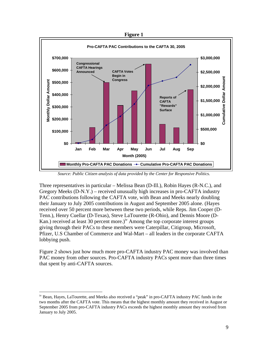**Figure 1** 



*Source: Public Citizen analysis of data provided by the Center for Responsive Politics.*

Three representatives in particular – Melissa Bean (D-Ill.), Robin Hayes (R-N.C.), and Gregory Meeks  $(D-N,Y)$  – received unusually high increases in pro-CAFTA industry PAC contributions following the CAFTA vote, with Bean and Meeks nearly doubling their January to July 2005 contributions in August and September 2005 alone. (Hayes received over 50 percent more between these two periods, while Reps. Jim Cooper (D-Tenn.), Henry Cuellar (D-Texas), Steve LaTourette (R-Ohio), and Dennis Moore (D-Kan.) received at least 30 percent more.)<sup>iv</sup> Among the top corporate interest groups giving through their PACs to these members were Caterpillar, Citigroup, Microsoft, Pfizer, U.S Chamber of Commerce and Wal-Mart – all leaders in the corporate CAFTA lobbying push.

Figure 2 shows just how much more pro-CAFTA industry PAC money was involved than PAC money from other sources. Pro-CAFTA industry PACs spent more than three times that spent by anti-CAFTA sources.

<span id="page-8-0"></span>iv Bean, Hayes, LaTourette, and Meeks also received a "peak" in pro-CAFTA industry PAC funds in the two months after the CAFTA vote. This means that the highest monthly amount they received in August or September 2005 from pro-CAFTA industry PACs exceeds the highest monthly amount they received from January to July 2005.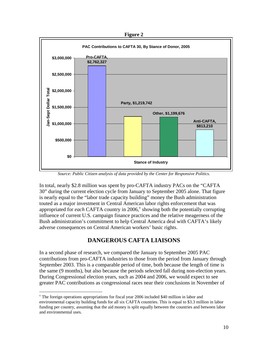**Figure 2** 



*Source: Public Citizen analysis of data provided by the Center for Responsive Politics.*

In total, nearly \$2.8 million was spent by pro-CAFTA industry PACs on the "CAFTA 30" during the current election cycle from January to September 2005 alone. That figure is nearly equal to the "labor trade capacity building" money the Bush administration touted as a major investment in Central American labor rights enforcement that was appropriated for *each* CAFTA country in 2006,<sup>[v](#page-9-0)</sup> showing both the potentially corrupting influence of current U.S. campaign finance practices and the relative meagerness of the Bush administration's commitment to help Central America deal with CAFTA's likely adverse consequences on Central American workers' basic rights.

# **DANGEROUS CAFTA LIAISONS**

In a second phase of research, we compared the January to September 2005 PAC contributions from pro-CAFTA industries to those from the period from January through September 2003. This is a comparable period of time, both because the length of time is the same (9 months), but also because the periods selected fall during non-election years. During Congressional election years, such as 2004 and 2006, we would expect to see greater PAC contributions as congressional races near their conclusions in November of

<span id="page-9-0"></span>v The foreign operations appropriations for fiscal year 2006 included \$40 million in labor and environmental capacity building funds for all six CAFTA countries. This is equal to \$3.3 million in labor funding per country, assuming that the aid money is split equally between the countries and between labor and environmental uses.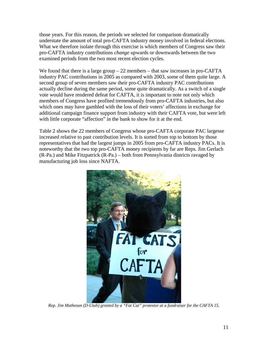those years. For this reason, the periods we selected for comparison dramatically understate the amount of total pro-CAFTA industry money involved in federal elections. What we therefore isolate through this exercise is which members of Congress saw their pro-CAFTA industry contributions *change* upwards or downwards between the two examined periods from the two most recent election cycles.

We found that there is a large group  $-22$  members – that saw increases in pro-CAFTA industry PAC contributions in 2005 as compared with 2003, some of them quite large. A second group of seven members saw their pro-CAFTA industry PAC contributions actually decline during the same period, some quite dramatically. As a switch of a single vote would have rendered defeat for CAFTA, it is important to note not only which members of Congress have profited tremendously from pro-CAFTA industries, but also which ones may have gambled with the loss of their voters' affections in exchange for additional campaign finance support from industry with their CAFTA vote, but were left with little corporate "affection" in the bank to show for it at the end.

Table 2 shows the 22 members of Congress whose pro-CAFTA corporate PAC largesse increased relative to past contribution levels. It is sorted from top to bottom by those representatives that had the largest jumps in 2005 from pro-CAFTA industry PACs. It is noteworthy that the two top pro-CAFTA money recipients by far are Reps. Jim Gerlach (R-Pa.) and Mike Fitzpatrick (R-Pa.) – both from Pennsylvania districts ravaged by manufacturing job loss since NAFTA.



*Rep. Jim Matheson (D-Utah) greeted by a "Fat Cat" protestor at a fundraiser for the CAFTA 15.*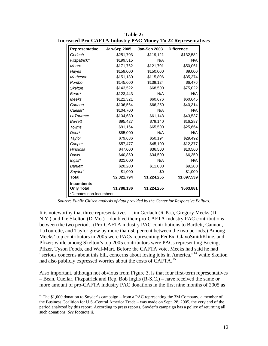| Representative       | Jan-Sep 2005 | Jan-Sep 2003 | <b>Difference</b> |
|----------------------|--------------|--------------|-------------------|
| Gerlach              | \$251,703    | \$119,121    | \$132,582         |
| Fitzpatrick*         | \$199,515    | N/A          | N/A               |
| Moore                | \$171,762    | \$121,701    | \$50,061          |
| Hayes                | \$159,000    | \$150,000    | \$9,000           |
| Matheson             | \$151,180    | \$115,806    | \$35,374          |
| Pombo                | \$145,600    | \$139,124    | \$6,476           |
| <b>Skelton</b>       | \$143,522    | \$68,500     | \$75,022          |
| Bean <sup>*</sup>    | \$123,443    | N/A          | N/A               |
| Meeks                | \$121,321    | \$60,676     | \$60,645          |
| Cannon               | \$106,564    | \$66,250     | \$40,314          |
| Cuellar*             | \$104,700    | N/A          | N/A               |
| LaTourette           | \$104,680    | \$61,143     | \$43,537          |
| <b>Barrett</b>       | \$95,427     | \$79,140     | \$16,287          |
| Towns                | \$91,164     | \$65,500     | \$25,664          |
| Dent*                | \$85,000     | N/A          | N/A               |
| Taylor               | \$79,686     | \$50,194     | \$29,492          |
| Cooper               | \$57,477     | \$45,100     | \$12,377          |
| Hinojosa             | \$47,000     | \$36,500     | \$10,500          |
| Davis                | \$40,850     | \$34,500     | \$6,350           |
| Inglis*              | \$21,000     | N/A          | N/A               |
| <b>Bartlett</b>      | \$20,200     | \$11,000     | \$9,200           |
| Snyder <sup>vi</sup> | \$1,000      | \$0          | \$1,000           |
| <b>Total</b>         | \$2,321,794  | \$1,224,255  | \$1,097,539       |
| <b>Incumbents</b>    |              |              |                   |
| <b>Only Total</b>    | \$1,788,136  | \$1,224,255  | \$563,881         |

**Table 2: Increased Pro-CAFTA Industry PAC Money To 22 Representatives**

*Source: Public Citizen analysis of data provided by the Center for Responsive Politics.*

It is noteworthy that three representatives – Jim Gerlach (R-Pa.), Gregory Meeks (D-N.Y.) and Ike Skelton (D-Mo.) – doubled their pro-CAFTA industry PAC contributions between the two periods. (Pro-CAFTA industry PAC contributions to Bartlett, Cannon, LaTourette, and Taylor grew by more than 50 percent between the two periods.) Among Meeks' top contributors in 2005 were PACs representing FedEx, GlaxoSmithKline, and Pfizer; while among Skelton's top 2005 contributors were PACs representing Boeing, Pfizer, Tyson Foods, and Wal-Mart. Before the CAFTA vote, Meeks had said he had "serious concerns about this bill, concerns about losing jobs in America,"<sup>14</sup> while Skelton had also publicly expressed worries about the costs of CAFTA.<sup>[15](#page-35-14)</sup>

Also important, although not obvious from Figure 3, is that four first-term representatives – Bean, Cuellar, Fitzpatrick and Rep. Bob Inglis (R-S.C.) – have received the same or more amount of pro-CAFTA industry PAC donations in the first nine months of 2005 as

<span id="page-11-0"></span> $v<sup>i</sup>$  The \$1,000 donation to Snyder's campaign – from a PAC representing the 3M Company, a member of the Business Coalition for U.S.-Central America Trade – was made on Sept. 28, 2005, the very end of the period analyzed by this report. According to press reports, Snyder's campaign has a policy of returning all such donations. *See* footnote ii.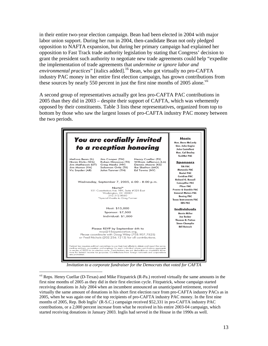in their entire two-year election campaign. Bean had been elected in 2004 with major labor union support. During her run in 2004, then-candidate Bean not only pledged opposition to NAFTA expansion, but during her primary campaign had explained her opposition to Fast Track trade authority legislation by stating that Congress' decision to grant the president such authority to negotiate new trade agreements could help "expedite the implementation of trade agreements that *undermine or ignore labor and environmental practices*" [italics added].[16](#page-35-15) Bean, who got virtually no pro-CAFTA industry PAC money in her entire first election campaign, has grown contributions from these sources by nearly 550 percent in just the first nine months of 2005 alone.<sup>[vii](#page-12-0)</sup>

A second group of representatives actually got less pro-CAFTA PAC contributions in 2005 than they did in 2003 – despite their support of CAFTA, which was vehemently opposed by their constituents. Table 3 lists these representatives, organized from top to bottom by those who saw the largest losses of pro-CAFTA industry PAC money between the two periods.



*Invitation to a corporate fundraiser for the Democrats that voted for CAFTA*

<span id="page-12-0"></span><sup>&</sup>lt;sup>vii</sup> Reps. Henry Cuellar (D-Texas) and Mike Fitzpatrick (R-Pa.) received virtually the same amounts in the first nine months of 2005 as they did in their first election cycle. Fitzpatrick, whose campaign started receiving donations in July 2004 when an incumbent announced an unanticipated retirement, received virtually the same amount of donations in his short first election race from pro-CAFTA industry PACs as in 2005, when he was again one of the top recipients of pro-CAFTA industry PAC money. In the first nine months of 2005, Rep. Bob Inglis' (R-S.C.) campaign received \$52,331 in pro-CAFTA industry PAC contributions, or a 2,000 percent increase from what he received in his entire 2003-04 campaign, which started receiving donations in January 2003. Inglis had served in the House in the 1990s as well.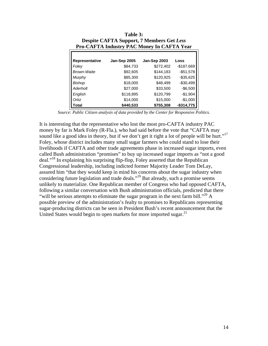| Despite CAF IA Support, / Members Get Less<br><b>Pro-CAFTA Industry PAC Money In CAFTA Year</b> |              |              |               |  |  |
|-------------------------------------------------------------------------------------------------|--------------|--------------|---------------|--|--|
| Representative                                                                                  | Jan-Sep 2005 | Jan-Sep 2003 | Loss          |  |  |
| Foley                                                                                           | \$84,733     | \$272,402    | $-$187,669$   |  |  |
| Brown-Waite                                                                                     | \$92,605     | \$144,183    | $-$51,578$    |  |  |
| Murphy                                                                                          | \$85,300     | \$120,925    | $-$ \$35,625  |  |  |
| Bishop                                                                                          | \$18,000     | \$48,499     | $-$30,499$    |  |  |
| Aderholt                                                                                        | \$27,000     | \$33,500     | $-$6,500$     |  |  |
| English                                                                                         | \$118,895    | \$120,799    | $-$1,904$     |  |  |
| Ortiz                                                                                           | \$14,000     | \$15,000     | $-$1,000$     |  |  |
| Total                                                                                           | \$440,533    | \$755,308    | $-$ \$314,775 |  |  |

**Table 3: Despite CAFTA Support, 7 Members Get** *Less* 

*Source: Public Citizen analysis of data provided by the Center for Responsive Politics.*

It is interesting that the representative who lost the most pro-CAFTA industry PAC money by far is Mark Foley (R-Fla.), who had said before the vote that "CAFTA may sound like a good idea in theory, but if we don't get it right a lot of people will be hurt."<sup>[17](#page-35-16)</sup> Foley, whose district includes many small sugar farmers who could stand to lose their livelihoods if CAFTA and other trade agreements phase in increased sugar imports, even called Bush administration "promises" to buy up increased sugar imports as "not a good deal."<sup>18</sup> In explaining his surprising flip-flop, Foley asserted that the Republican Congressional leadership, including indicted former Majority Leader Tom DeLay, assured him "that they would keep in mind his concerns about the sugar industry when considering future legislation and trade deals."[19 B](#page-35-18)ut already, such a promise seems unlikely to materialize. One Republican member of Congress who had opposed CAFTA, following a similar conversation with Bush administration officials, predicted that there "will be serious attempts to eliminate the sugar program in the next farm bill."<sup>20</sup> A possible preview of the administration's fealty to promises to Republicans representing sugar-producing districts can be seen in President Bush's recent announcement that the United States would begin to open markets for more imported sugar.  $2<sup>1</sup>$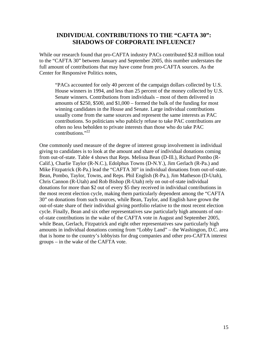## **INDIVIDUAL CONTRIBUTIONS TO THE "CAFTA 30": SHADOWS OF CORPORATE INFLUENCE?**

While our research found that pro-CAFTA industry PACs contributed \$2.8 million total to the "CAFTA 30" between January and September 2005, this number understates the full amount of contributions that may have come from pro-CAFTA sources. As the Center for Responsive Politics notes,

"PACs accounted for only 40 percent of the campaign dollars collected by U.S. House winners in 1994, and less than 25 percent of the money collected by U.S. Senate winners. Contributions from individuals – most of them delivered in amounts of \$250, \$500, and \$1,000 – formed the bulk of the funding for most winning candidates in the House and Senate. Large individual contributions usually come from the same sources and represent the same interests as PAC contributions. So politicians who publicly refuse to take PAC contributions are often no less beholden to private interests than those who do take PAC contributions. $22$ 

One commonly used measure of the degree of interest group involvement in individual giving to candidates is to look at the amount and share of individual donations coming from out-of-state. Table 4 shows that Reps. Melissa Bean (D-Ill.), Richard Pombo (R-Calif.), Charlie Taylor (R-N.C.), Edolphus Towns (D-N.Y.), Jim Gerlach (R-Pa.) and Mike Fitzpatrick (R-Pa.) lead the "CAFTA 30" in individual donations from out-of-state. Bean, Pombo, Taylor, Towns, and Reps. Phil English (R-Pa.), Jim Matheson (D-Utah), Chris Cannon (R-Utah) and Rob Bishop (R-Utah) rely on out-of-state individual donations for more than \$2 out of every \$5 they received in individual contributions in the most recent election cycle, making them particularly dependent among the "CAFTA 30" on donations from such sources, while Bean, Taylor, and English have grown the out-of-state share of their individual giving portfolio relative to the most recent election cycle. Finally, Bean and six other representatives saw particularly high amounts of outof-state contributions in the wake of the CAFTA vote in August and September 2005, while Bean, Gerlach, Fitzpatrick and eight other representatives saw particularly high amounts in individual donations coming from "Lobby Land" – the Washington, D.C. area that is home to the country's lobbyists for drug companies and other pro-CAFTA interest groups – in the wake of the CAFTA vote.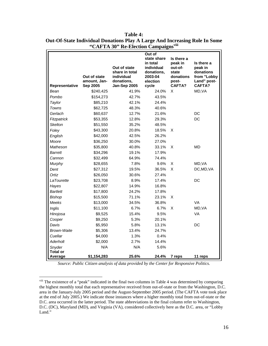| Representative            | Out of state<br>amount, Jan-<br>Sep 2005 | Out of state<br>share in total<br>individual<br>donations,<br>Jan-Sep 2005 | Out of<br>state share<br>in total<br>individual<br>donations,<br>2003-04<br>election<br>cycle | Is there a<br>peak in<br>out-of-<br>state<br>donations<br>post-<br><b>CAFTA?</b> | Is there a<br>peak in<br>donations<br>from "Lobby<br>Land" post-<br><b>CAFTA?</b> |
|---------------------------|------------------------------------------|----------------------------------------------------------------------------|-----------------------------------------------------------------------------------------------|----------------------------------------------------------------------------------|-----------------------------------------------------------------------------------|
| Bean                      | \$240,425                                | 41.9%                                                                      | 24.0%                                                                                         | X                                                                                | MD, VA                                                                            |
| Pombo                     | \$154,273                                | 42.7%                                                                      | 43.5%                                                                                         |                                                                                  |                                                                                   |
| Taylor                    | \$85,210                                 | 42.1%                                                                      | 24.4%                                                                                         |                                                                                  |                                                                                   |
| Towns                     | \$62,725                                 | 48.3%                                                                      | 40.6%                                                                                         |                                                                                  |                                                                                   |
| Gerlach                   | \$60,637                                 | 12.7%                                                                      | 21.6%                                                                                         |                                                                                  | DC                                                                                |
| Fitzpatrick               | \$53,355                                 | 12.8%                                                                      | 29.3%                                                                                         |                                                                                  | DC                                                                                |
| <b>Skelton</b>            | \$51,550                                 | 35.2%                                                                      | 48.5%                                                                                         |                                                                                  |                                                                                   |
| Foley                     | \$43,300                                 | 20.8%                                                                      | 18.5%                                                                                         | X                                                                                |                                                                                   |
| English                   | \$42,000                                 | 42.5%                                                                      | 26.2%                                                                                         |                                                                                  |                                                                                   |
| Moore                     | \$36,250                                 | 30.0%                                                                      | 27.0%                                                                                         |                                                                                  |                                                                                   |
| Matheson                  | \$35,800                                 | 40.8%                                                                      | 33.1%                                                                                         | X                                                                                | <b>MD</b>                                                                         |
| <b>Barrett</b>            | \$34,296                                 | 19.1%                                                                      | 17.9%                                                                                         |                                                                                  |                                                                                   |
| Cannon                    | \$32,499                                 | 64.9%                                                                      | 74.4%                                                                                         |                                                                                  |                                                                                   |
| Murphy                    | \$28,655                                 | 7.8%                                                                       | 9.6%                                                                                          | X                                                                                | MD, VA                                                                            |
| Dent                      | \$27,312                                 | 19.5%                                                                      | 36.5%                                                                                         | X                                                                                | DC, MD, VA                                                                        |
| Ortiz                     | \$26,050                                 | 30.6%                                                                      | 27.4%                                                                                         |                                                                                  |                                                                                   |
| <b>LaTourette</b>         | \$23,708                                 | 8.9%                                                                       | 17.4%                                                                                         |                                                                                  | DC                                                                                |
| Hayes                     | \$22,807                                 | 14.9%                                                                      | 16.8%                                                                                         |                                                                                  |                                                                                   |
| <b>Bartlett</b>           | \$17,800                                 | 24.2%                                                                      | 17.8%                                                                                         |                                                                                  |                                                                                   |
| <b>Bishop</b>             | \$15,500                                 | 71.1%                                                                      | 23.1%                                                                                         | X                                                                                |                                                                                   |
| Meeks                     | \$13,000                                 | 34.5%                                                                      | 36.8%                                                                                         |                                                                                  | VA                                                                                |
| Inglis                    | \$11,100                                 | 6.7%                                                                       | 6.7%                                                                                          | X                                                                                | MD, VA                                                                            |
| Hinojosa                  | \$9,525                                  | 15.4%                                                                      | 9.5%                                                                                          |                                                                                  | VA                                                                                |
| Cooper                    | \$9,250                                  | 5.3%                                                                       | 20.1%                                                                                         |                                                                                  |                                                                                   |
| Davis                     | \$5,950                                  | 5.8%                                                                       | 13.1%                                                                                         |                                                                                  | DC                                                                                |
| <b>Brown-Waite</b>        | \$5,306                                  | 13.4%                                                                      | 24.7%                                                                                         |                                                                                  |                                                                                   |
| Cuellar                   | \$4,000                                  | 1.3%                                                                       | 0.4%                                                                                          |                                                                                  |                                                                                   |
| Aderholt                  | \$2,000                                  | 2.7%                                                                       | 14.4%                                                                                         |                                                                                  |                                                                                   |
| Snyder<br><b>Total or</b> | N/A                                      | N/A                                                                        | 5.6%                                                                                          |                                                                                  |                                                                                   |
| Average                   | \$1,154,283                              | 25.6%                                                                      | 24.4%                                                                                         | 7 reps                                                                           | 11 reps                                                                           |

| Table 4:                                                                   |
|----------------------------------------------------------------------------|
| Out-Of-State Individual Donations Play A Large And Increasing Role In Some |
| "CAFTA 30" Re-Election Campaigns <sup>viii</sup>                           |

*Source: Public Citizen analysis of data provided by the Center for Responsive Politics.*

<span id="page-15-0"></span><sup>&</sup>lt;sup>viii</sup> The existence of a "peak" indicated in the final two columns in Table 4 was determined by comparing the highest monthly total that each representative received from out-of-state or from the Washington, D.C. area in the January-July 2005 period and the August-September 2005 period. (The CAFTA vote took place at the end of July 2005.) We indicate those instances where a higher monthly total from out-of-state or the D.C. area occurred in the latter period. The state abbreviations in the final column refer to Washington, D.C. (DC), Maryland (MD), and Virginia (VA), considered collectively here as the D.C. area, or "Lobby Land."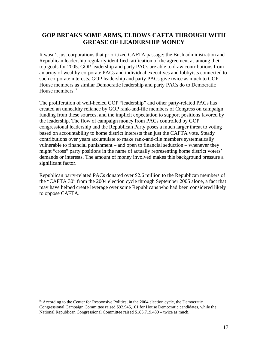## **GOP BREAKS SOME ARMS, ELBOWS CAFTA THROUGH WITH GREASE OF LEADERSHIP MONEY**

It wasn't just corporations that prioritized CAFTA passage: the Bush administration and Republican leadership regularly identified ratification of the agreement as among their top goals for 2005. GOP leadership and party PACs are able to draw contributions from an array of wealthy corporate PACs and individual executives and lobbyists connected to such corporate interests. GOP leadership and party PACs give twice as much to GOP House members as similar Democratic leadership and party PACs do to Democratic House members.<sup>[ix](#page-16-0)</sup>

The proliferation of well-heeled GOP "leadership" and other party-related PACs has created an unhealthy reliance by GOP rank-and-file members of Congress on campaign funding from these sources, and the implicit expectation to support positions favored by the leadership. The flow of campaign money from PACs controlled by GOP congressional leadership and the Republican Party poses a much larger threat to voting based on accountability to home district interests than just the CAFTA vote. Steady contributions over years accumulate to make rank-and-file members systematically vulnerable to financial punishment – and open to financial seduction – whenever they might "cross" party positions in the name of actually representing home district voters' demands or interests. The amount of money involved makes this background pressure a significant factor.

Republican party-related PACs donated over \$2.6 million to the Republican members of the "CAFTA 30" from the 2004 election cycle through September 2005 alone, a fact that may have helped create leverage over some Republicans who had been considered likely to oppose CAFTA.

<span id="page-16-0"></span><sup>&</sup>lt;sup>ix</sup> According to the Center for Responsive Politics, in the 2004 election cycle, the Democratic Congressional Campaign Committee raised \$92,945,101 for House Democratic candidates, while the National Republican Congressional Committee raised \$185,719,489 – twice as much.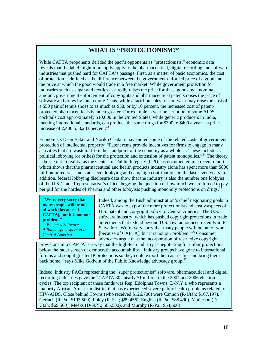## **WHAT IS "PROTECTIONISM?"**

While CAFTA proponents derided the pact's opponents as "protectionists," economic data reveals that the label might more aptly apply to the pharmaceutical, digital recording and software industries that pushed hard for CAFTA's passage. First, as a matter of basic economics, the cost of protection is defined as the difference between the government-enforced price of a good and the price at which the good would trade in a free market. While government protection for industries such as sugar and textiles assuredly raises the price for these goods by a nominal amount, government enforcement of copyrights and pharmaceutical patents raises the price of software and drugs by much more. Thus, while a tariff on soles for footwear may raise the cost of a \$50 pair of tennis shoes to as much as \$58, or by 16 percent, the increased cost of patentprotected pharmaceuticals is much greater. For example, a year prescription of some AIDS cocktails cost approximately \$10,000 in the United States, while generic producers in India, meeting international standards, can produce the same drugs for \$300 to \$400 a year – a price increase of 2,400 to 3,233 percent.<sup>23</sup>

Economists Dean Baker and Noriko Chatani have noted some of the related costs of government protection of intellectual property: "Patent rents provide incentives for firms to engage in many activities that are wasteful from the standpoint of the economy as a whole … These include … political lobbying (or bribes) for the protection and extension of patent monopolies."<sup>24</sup> The theory is borne out in reality, as the Center for Public Integrity (CPI) has documented in a recent report, which shows that the pharmaceutical and health products industry alone has spent more than \$800 million in federal- and state-level lobbying and campaign contributions in the last seven years. In addition, federal lobbying disclosure data show that the industry is also the number one lobbyist of the U.S. Trade Representative's office, begging the question of how much we are forced to pay per pill for the hordes of Pharma and other lobbyists pushing monopoly protections on drugs.<sup>2</sup>

**"We're very sorry that many people will be out of work [because of CAFTA], but it is not our problem."**  *-- Business Software Alliance spokesperson in Central America* 

Indeed, among the Bush administration's chief negotiating goals in CAFTA was to export the more protectionist and costly aspects of U.S. patent and copyright policy to Central America. The U.S. software industry, which has pushed copyright protections in trade agreements that extend beyond U.S. law, announced recently in El Salvador: "We're very sorry that many people will be out of work [because of CAFTA], but it is not our problem."[26](#page-35-25) Consumer advocates argue that the incorporation of restrictive copyright

provisions into CAFTA is a way that the high-tech industry is negotiating for unfair protections below the radar screen of democratic accountability. "Industry groups have gone to international forums and sought greater IP protections so they could export them as treaties and bring them back home," says Mike Godwin of the Public Knowledge advocacy group. $27$ 

Indeed, industry PACs representing the "super protectionist" software, pharmaceutical and digital recording industries gave the "CAFTA 30" nearly \$1 million in the 2004 and 2006 election cycles. The top recipient of these funds was Rep. Edolphus Towns (D-N.Y.), who represents a majority African-American district that has experienced severe public health problems related to HIV-AIDS. Close behind Towns (who received \$126,700) were Cannon (R-Utah; \$107,197), Gerlach (R-Pa.; \$103,500), Foley (R-Fla.; \$89,456), English (R-Pa.; \$88,490), Matheson (D-Utah; \$69,500), Meeks (D-N.Y.; \$65,500), and Murphy (R-Pa.; \$54,600).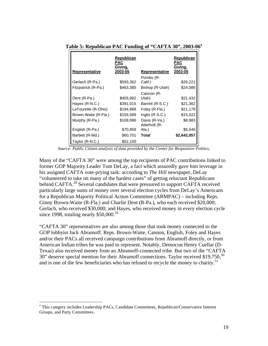|                      | Republican<br>PAC<br>Giving, |                               | <b>Republican</b><br>PAC<br>Giving, |
|----------------------|------------------------------|-------------------------------|-------------------------------------|
| Representative       | 2003-05                      | Representative                | 2003-05                             |
| Gerlach (R-Pa.)      | \$593,362                    | Pombo (R-<br>Calif.)          | \$26,221                            |
| Fitzpatrick (R-Pa.)  | \$463,385                    | Bishop (R-Utah)               | \$24,086                            |
| Dent (R-Pa.)         | \$405,962                    | Cannon (R-<br>Utah)           | \$21,432                            |
| Hayes (R-N.C.)       | \$391,015                    | Barrett (R-S.C.)              | \$21,362                            |
| LaTourette (R-Ohio)  | \$194,968                    | Foley (R-Fla.)                | \$21,178                            |
| Brown-Waite (R-Fla.) | \$156,589                    | Inglis $(R-S.C.)$             | \$15,322                            |
| Murphy (R-Pa.)       | \$108,986                    | Davis (R-Va.)<br>Aderholt (R- | \$8,983                             |
| English (R-Pa.)      | \$70,859                     | Ala.)                         | \$5,546                             |
| Bartlett (R-Md.)     | \$60,701                     | Total                         | \$2,642,057                         |
| Taylor (R-N.C.)      | \$52,100                     |                               |                                     |

**Table 5: Republican PAC Funding of "CAFTA 30", 2003-06[x](#page-18-0)**

*Source: Public Citizen analysis of data provided by the Center for Responsive Politics.*

Many of the "CAFTA 30" were among the top recipients of PAC contributions linked to former GOP Majority Leader Tom DeLay, a fact which assuredly gave him leverage in his assigned CAFTA vote-prying task: according to *The Hill* newspaper, DeLay "volunteered to take on many of the hardest cases" of getting reluctant Republicans behind CAFTA.<sup>28</sup> Several candidates that were pressured to support CAFTA received particularly large sums of money over several election cycles from DeLay's Americans for a Republican Majority Political Action Committee (ARMPAC) – including Reps. Ginny Brown-Waite (R-Fla.) and Charlie Dent (R-Pa.), who each received \$20,000; Gerlach, who received \$30,000; and Hayes, who received money in every election cycle since 1998, totaling nearly  $$50,000.<sup>29</sup>$  $$50,000.<sup>29</sup>$  $$50,000.<sup>29</sup>$ 

"CAFTA 30" representatives are also among those that took money connected to the GOP lobbyist Jack Abramoff. Reps. Brown-Waite, Cannon, English, Foley and Hayes and/or their PACs all received campaign contributions from Abramoff directly, or from American Indian tribes he was paid to represent. Notably, Democrat Henry Cuellar (D-Texas) also received money from an Abramoff-connected tribe. But two of the "CAFTA [30](#page-35-29)" deserve special mention for their Abramoff connections. Taylor received  $$19,750$ ,<sup>30</sup> and is one of the few beneficiaries who has refused to recycle the money to charity. $31$ 

1

<span id="page-18-0"></span><sup>&</sup>lt;sup>x</sup> This category includes Leadership PACs, Candidate Committees, Republican/Conservative Interest Groups, and Party Committees.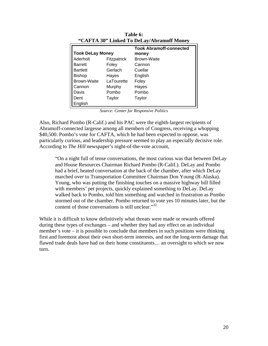| "CAFTA 30" Linked To DeLay/Abramoff Money |             |                                |  |  |
|-------------------------------------------|-------------|--------------------------------|--|--|
|                                           |             | <b>Took Abramoff-connected</b> |  |  |
| <b>Took DeLay Money</b>                   |             | money                          |  |  |
| Aderholt                                  | Fitzpatrick | <b>Brown-Waite</b>             |  |  |
| <b>Barrett</b>                            | Foley       | Cannon                         |  |  |
| <b>Bartlett</b>                           | Gerlach     | Cuellar                        |  |  |
| <b>Bishop</b>                             | Hayes       | English                        |  |  |
| <b>Brown-Waite</b>                        | LaTourette  | Foley                          |  |  |
| Cannon                                    | Murphy      | Hayes                          |  |  |
| Davis                                     | Pombo       | Pombo                          |  |  |
| Dent                                      | Taylor      | Taylor                         |  |  |
| English                                   |             |                                |  |  |

**Table 6:** 

*Source: Center for Responsive Politics* 

Also, Richard Pombo (R-Calif.) and his PAC were the eighth-largest recipients of Abramoff-connected largesse among all members of Congress, receiving a whopping \$40,500. Pombo's vote for CAFTA, which he had been expected to oppose, was particularly curious, and leadership pressure seemed to play an especially decisive role. According to *The Hill* newspaper's night-of-the-vote account,

"On a night full of tense conversations, the most curious was that between DeLay and House Resources Chairman Richard Pombo (R-Calif.). DeLay and Pombo had a brief, heated conversation at the back of the chamber, after which DeLay marched over to Transportation Committee Chairman Don Young (R-Alaska). Young, who was putting the finishing touches on a massive highway bill filled with members' pet projects, quickly explained something to DeLay. DeLay walked back to Pombo, told him something and watched in frustration as Pombo stormed out of the chamber. Pombo returned to vote yes 10 minutes later, but the content of those conversations is still unclear."<sup>[32](#page-35-31)</sup>

While it is difficult to know definitively what threats were made or rewards offered during these types of exchanges – and whether they had any effect on an individual member's vote – it is possible to conclude that members in such positions were thinking first and foremost about their own short-term interests, and not the long-term damage that flawed trade deals have had on their home constituents… an oversight to which we now turn.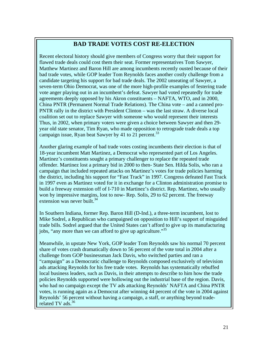# **BAD TRADE VOTES COST RE-ELECTION**

Recent electoral history should give members of Congress worry that their support for flawed trade deals could cost them their seat. Former representatives Tom Sawyer, Matthew Martinez and Baron Hill are among incumbents recently ousted because of their bad trade votes, while GOP leader Tom Reynolds faces another costly challenge from a candidate targeting his support for bad trade deals. The 2002 unseating of Sawyer, a seven-term Ohio Democrat, was one of the more high-profile examples of festering trade vote anger playing out in an incumbent's defeat. Sawyer had voted repeatedly for trade agreements deeply opposed by his Akron constituents – NAFTA, WTO, and in 2000, China PNTR (Permanent Normal Trade Relations). The China vote – and a canned pro-PNTR rally in the district with President Clinton – was the last straw. A diverse local coalition set out to replace Sawyer with someone who would represent their interests Thus, in 2002, when primary voters were given a choice between Sawyer and then 29 year old state senator, Tim Ryan, who made opposition to retrograde trade deals a top campaign issue, Ryan beat Sawyer by 41 to 21 percent.<sup>[33](#page-35-32)</sup>

Another glaring example of bad trade votes costing incumbents their election is that of 18-year incumbent Matt Martinez, a Democrat who represented part of Los Angeles. Martinez's constituents sought a primary challenger to replace the repeated trade offender. Martinez lost a primary bid in 2000 to then- State Sen. Hilda Solis, who ran a campaign that included repeated attacks on Martinez's votes for trade policies harming the district, including his support for "Fast Track" in 1997. Congress defeated Fast Track in 1997 even as Martinez voted for it in exchange for a Clinton administration promise to build a freeway extension off of I-710 in Martinez's district. Rep. Martinez, who usually won by impressive margins, lost to now- Rep. Solis, 29 to 62 percent. The freeway extension was never built.<sup>34</sup>

In Southern Indiana, former Rep. Baron Hill (D-Ind.), a three-term incumbent, lost to Mike Sodrel, a Republican who campaigned on opposition to Hill's support of misguided trade bills. Sodrel argued that the United States can't afford to give up its manufacturing jobs, "any more than we can afford to give up agriculture."<sup>35</sup>

Meanwhile, in upstate New York, GOP leader Tom Reynolds saw his normal 70 percent share of votes crash dramatically down to 56 percent of the vote total in 2004 after a challenge from GOP businessman Jack Davis, who switched parties and ran a "campaign" as a Democratic challenge to Reynolds composed exclusively of television ads attacking Reynolds for his free trade votes. Reynolds has systematically rebuffed local business leaders, such as Davis, in their attempts to describe to him how the trade policies Reynolds supported were hollowing out the industrial base of the region. Davis, who had no campaign except the TV ads attacking Reynolds' NAFTA and China PNTR votes, is running again as a Democrat after winning 44 percent of the vote in 2004 against Reynolds' 56 percent without having a campaign, a staff, or anything beyond trade-related TV ads.<sup>[36](#page-35-35)</sup>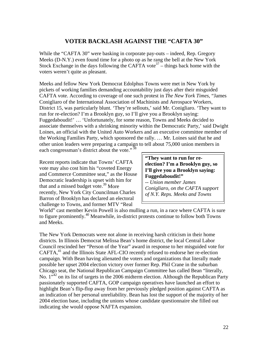## **VOTER BACKLASH AGAINST THE "CAFTA 30"**

While the "CAFTA 30" were basking in corporate pay-outs – indeed, Rep. Gregory Meeks (D-N.Y.) even found time for a photo op as he rang the bell at the New York Stock Exchange in the days following the CAFTA vote<sup>37</sup> – things back home with the voters weren't quite as pleasant.

Meeks and fellow New York Democrat Edolphus Towns were met in New York by pickets of working families demanding accountability just days after their misguided CAFTA vote. According to coverage of one such protest in *The New York Times,* "James Conigliaro of the International Association of Machinists and Aerospace Workers, District 15, was particularly blunt. 'They're sellouts,' said Mr. Conigliaro. 'They want to run for re-election? I'm a Brooklyn guy, so I'll give you a Brooklyn saying: Fuggedaboudit!' … 'Unfortunately, for some reason, Towns and Meeks decided to associate themselves with a shrinking minority within the Democratic Party,' said Dwight Loines, an official with the United Auto Workers and an executive committee member of the Working Families Party, which sponsored the rally. … Mr. Loines said that he and other union leaders were preparing a campaign to tell about 75,000 union members in each congressman's district about the vote."<sup>38</sup>

Recent reports indicate that Towns' CAFTA vote may also cost him his "coveted Energy and Commerce Committee seat," as the House Democratic leadership is upset with him for that and a missed budget vote.<sup>39</sup> More recently, New York City Councilman Charles Barron of Brooklyn has declared an electoral challenge to Towns, and former MTV "Real

**"They want to run for reelection? I'm a Brooklyn guy, so I'll give you a Brooklyn saying: Fuggedaboudit!"** 

*-- Union member James Conigliaro, on the CAFTA support of N.Y. Reps. Meeks and Towns* 

World" cast member Kevin Powell is also mulling a run, in a race where CAFTA is sure to figure prominently.[40 M](#page-35-39)eanwhile, in-district protests continue to follow both Towns and Meeks.

The New York Democrats were not alone in receiving harsh criticism in their home districts. In Illinois Democrat Melissa Bean's home district, the local Central Labor Council rescinded her "Person of the Year" award in response to her misguided vote for  $CAFTA<sub>1</sub><sup>41</sup>$  and the Illinois State AFL-CIO recently refused to endorse her re-election campaign. With Bean having alienated the voters and organizations that literally made possible her upset 2004 election victory over former Rep. Phil Crane in the suburban Chicago seat, the National Republican Campaign Committee has called Bean "literally, No.  $1^{42}$  on its list of targets in the 2006 midterm election. Although the Republican Party passionately supported CAFTA, GOP campaign operatives have launched an effort to highlight Bean's flip-flop away from her previously pledged position against CAFTA as an indication of her personal unreliability. Bean has lost the support of the majority of her 2004 election base, including the unions whose candidate questionnaire she filled out indicating she would oppose NAFTA expansion.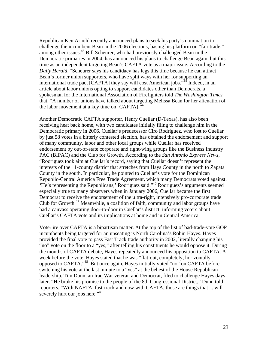Republican Ken Arnold recently announced plans to seek his party's nomination to challenge the incumbent Bean in the 2006 elections, basing his platform on "fair trade," among other issues.<sup>43</sup> Bill Scheurer, who had previously challenged Bean in the Democratic primaries in 2004, has announced his plans to challenge Bean again, but this time as an independent targeting Bean's CAFTA vote as a major issue. According to the *Daily Herald,* "Scheurer says his candidacy has legs this time because he can attract Bean's former union supporters, who have split ways with her for supporting an international trade pact [CAFTA] they say will cost American jobs."<sup>44</sup> Indeed, in an article about labor unions opting to support candidates other than Democrats, a spokesman for the International Association of Firefighters told *The Washington Times*  that, "A number of unions have talked about targeting Melissa Bean for her alienation of the labor movement at a key time on  $[CAFTA]$ ."<sup>[45](#page-35-44)</sup>

Another Democratic CAFTA supporter, Henry Cuellar (D-Texas), has also been receiving heat back home, with two candidates initially filing to challenge him in the Democratic primary in 2006. Cuellar's predecessor Ciro Rodriguez, who lost to Cuellar by just 58 votes in a bitterly contested election, has obtained the endorsement and support of many community, labor and other local groups while Cuellar has received endorsement by out-of-state corporate and right-wing groups like the Business Industry PAC (BIPAC) and the Club for Growth. According to the *San Antonio Express News,*  "Rodriguez took aim at Cuellar's record, saying that Cuellar doesn't represent the interests of the 11-county district that stretches from Hays County in the north to Zapata County in the south. In particular, he pointed to Cuellar's vote for the Dominican Republic-Central America Free Trade Agreement, which many Democrats voted against. **'**He's representing the Republicans,' Rodriguez said."[46 R](#page-35-45)odriguez's arguments seemed especially true to many observers when in January 2006, Cuellar became the first Democrat to receive the endorsement of the ultra-right, intensively pro-corporate trade Club for Growth.<sup>47</sup> Meanwhile, a coalition of faith, community and labor groups have had a canvass operating door-to-door in Cuellar's district, informing voters about Cuellar's CAFTA vote and its implications at home and in Central America.

Voter ire over CAFTA is a bipartisan matter. At the top of the list of bad-trade-vote GOP incumbents being targeted for an unseating is North Carolina's Robin Hayes. Hayes provided the final vote to pass Fast Track trade authority in 2002, literally changing his "no" vote on the floor to a "yes," after telling his constituents he would oppose it. During the months of CAFTA debate, Hayes repeatedly announced his opposition to CAFTA. A week before the vote, Hayes stated that he was "flat-out, completely, horizontally opposed to CAFTA."[48](#page-35-47) But once again, Hayes initially voted "no" on CAFTA before switching his vote at the last minute to a "yes" at the behest of the House Republican leadership. Tim Dunn, an Iraq War veteran and Democrat, filed to challenge Hayes days later. "He broke his promise to the people of the 8th Congressional District," Dunn told reporters. "With NAFTA, fast-track and now with CAFTA, those are things that ... will severely hurt our jobs here."<sup>[49](#page-35-48)</sup>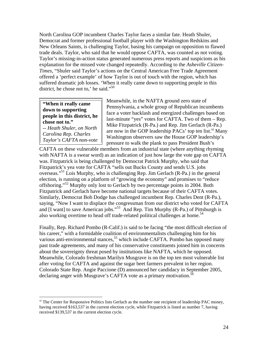North Carolina GOP incumbent Charles Taylor faces a similar fate. Heath Shuler, Democrat and former professional football player with the Washington Redskins and New Orleans Saints, is challenging Taylor, basing his campaign on opposition to flawed trade deals. Taylor, who said that he would oppose CAFTA, was counted as not voting. Taylor's missing-in-action status generated numerous press reports and suspicions as his explanation for the missed vote changed repeatedly. According to the *Asheville Citizen-Times*, "Shuler said Taylor's actions on the Central American Free Trade Agreement offered a 'perfect example' of how Taylor is out of touch with the region, which has suffered dramatic job losses. 'When it really came down to supporting people in this district, he chose not to,' he said."<sup>[50](#page-35-25)</sup>

### **"When it really came down to supporting people in this district, he chose not to."**

*-- Heath Shuler, on North Carolina Rep. Charles Taylor's CAFTA non-vote* 

 $\overline{a}$ 

Meanwhile, in the NAFTA ground zero state of Pennsylvania, a whole group of Republican incumbents face a voter backlash and energized challenges based on last-minute "yes" votes for CAFTA. Two of them – Rep. Mike Fitzpatrick (R-Pa.) and Rep. Jim Gerlach (R-Pa.) are now in the GOP leadership  $PACS'$  top ten list.<sup>xi</sup> Many Washington observers saw the House GOP leadership's pressure to walk the plank to pass President Bush's

CAFTA on these vulnerable members from an industrial state (where anything rhyming with NAFTA is a swear word) as an indication of just how large the vote gap on CAFTA was. Fitzpatrick is being challenged by Democrat Patrick Murphy, who said that Fitzpatrick's yea vote for CAFTA "sells out Bucks County and sends U.S. jobs overseas."<sup>51</sup> Lois Murphy, who is challenging Rep. Jim Gerlach (R-Pa.) in the general election, is running on a platform of "growing the economy" and promises to "reduce offshoring."<sup>52</sup> Murphy only lost to Gerlach by two percentage points in 2004. Both Fitzpatrick and Gerlach have become national targets because of their CAFTA votes. Similarly, Democrat Bob Dodge has challenged incumbent Rep. Charles Dent (R-Pa.), saying, "Now I want to displace the congressman from our district who voted for CAFTA and  $[I$  want] to save American jobs."<sup>53</sup> And Rep. Tim Murphy (R-Pa.) of Pittsburgh is also working overtime to head off trade-related political challenges at home. [54](#page-35-52)

Finally, Rep. Richard Pombo (R-Calif.) is said to be facing "the most difficult election of his career," with a formidable coalition of environmentalists challenging him for his various anti-environmental stances,<sup>55</sup> which include CAFTA. Pombo has opposed many past trade agreements, and many of his conservative constituents joined him in concerns about the sovereignty threat posed by institutions like NAFTA, which he opposed. Meanwhile, Colorado freshman Marilyn Musgrave is on the top ten most vulnerable list after voting for CAFTA and against the sugar beet farmers prevalent in her region. Colorado State Rep. Angie Paccione (D) announced her candidacy in September 2005, declaring anger with Musgrave's CAFTA vote as a primary motivation.<sup>[56](#page-35-54)</sup>

<span id="page-23-0"></span> $x_i$  The Center for Responsive Politics lists Gerlach as the number one recipient of leadership PAC money, having received \$163,537 in the current election cycle, while Fitzpatrick is listed as number 7, having received \$139,537 in the current election cycle.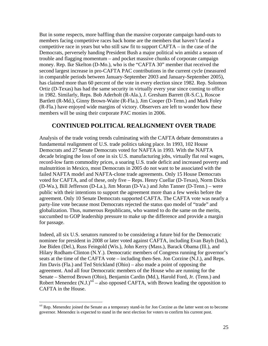But in some respects, more baffling than the massive corporate campaign hand-outs to members facing competitive races back home are the members that haven't faced a competitive race in years but who still saw fit to support CAFTA – in the case of the Democrats, perversely handing President Bush a major political win amidst a season of trouble and flagging momentum – and pocket massive chunks of corporate campaign money. Rep. Ike Skelton (D-Mo.), who is the "CAFTA 30" member that received the second largest increase in pro-CAFTA PAC contributions in the current cycle (measured in comparable periods between January-September 2003 and January-September 2005), has claimed more than 60 percent of the vote in every election since 1982. Rep. Solomon Ortiz (D-Texas) has had the same security in virtually every year since coming to office in 1982. Similarly, Reps. Bob Aderholt (R-Ala.), J. Gresham Barrett (R-S.C.), Roscoe Bartlett (R-Md.), Ginny Brown-Waite (R-Fla.), Jim Cooper (D-Tenn.) and Mark Foley (R-Fla.) have enjoyed wide margins of victory. Observers are left to wonder how these members will be using their corporate PAC monies in 2006.

## **CONTINUED POLITICAL REALIGNMENT OVER TRADE**

Analysis of the trade voting trends culminating with the CAFTA debate demonstrates a fundamental realignment of U.S. trade politics taking place. In 1993, 102 House Democrats and 27 Senate Democrats voted for NAFTA in 1993. With the NAFTA decade bringing the loss of one in six U.S. manufacturing jobs, virtually flat real wages, record-low farm commodity prices, a soaring U.S. trade deficit and increased poverty and malnutrition in Mexico, most Democrats in 2005 do not want to be associated with the failed NAFTA model and NAFTA-clone trade agreements. Only 15 House Democrats voted for CAFTA, and of these, only five – Reps. Henry Cuellar (D-Texas), Norm Dicks (D-Wa.), Bill Jefferson (D-La.), Jim Moran (D-Va.) and John Tanner (D-Tenn.) – were public with their intentions to support the agreement more than a few weeks before the agreement. Only 10 Senate Democrats supported CAFTA. The CAFTA vote was nearly a party-line vote because most Democrats rejected the status quo model of "trade" and globalization. Thus, numerous Republicans, who wanted to do the same on the merits, succumbed to GOP leadership pressure to make up the difference and provide a margin for passage.

Indeed, all six U.S. senators rumored to be considering a future bid for the Democratic nominee for president in 2008 or later voted against CAFTA, including Evan Bayh (Ind.), Joe Biden (Del.), Russ Feingold (Wis.), John Kerry (Mass.), Barack Obama (Ill.), and Hilary Rodham-Clinton (N.Y.). Democratic members of Congress running for governor's seats at the time of the CAFTA vote – including then-Sen. Jon Corzine (N.J.), and Reps. Jim Davis (Fla.) and Ted Strickland (Ohio) – also made a point of opposing the agreement. And all four Democratic members of the House who are running for the Senate – Sherrod Brown (Ohio), Benjamin Cardin (Md.), Harold Ford, Jr. (Tenn.) and Robert Menendez  $(N.J.)<sup>xii</sup> - also opposed CAFTA$ , with Brown leading the opposition to CAFTA in the House.

<span id="page-24-0"></span><sup>&</sup>lt;sup>xii</sup> Rep. Menendez joined the Senate as a temporary stand-in for Jon Corzine as the latter went on to become governor. Menendez is expected to stand in the next election for voters to confirm his current post.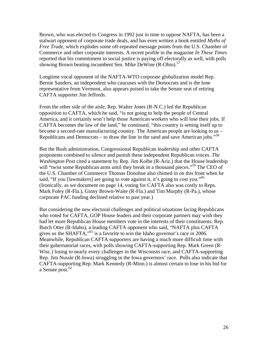Brown, who was elected to Congress in 1992 just in time to oppose NAFTA, has been a stalwart opponent of corporate trade deals, and has even written a book entitled *Myths of Free Trade,* which explodes some oft-repeated message points from the U.S. Chamber of Commerce and other corporate interests. A recent profile in the magazine *In These Times*  reported that his commitment to social justice is paying off electorally as well, with polls showing Brown beating incumbent Sen. Mike DeWine (R-Ohio).<sup>[57](#page-35-55)</sup>

Longtime vocal opponent of the NAFTA-WTO corporate globalization model Rep. Bernie Sanders, an independent who caucuses with the Democrats and is the lone representative from Vermont, also appears poised to take the Senate seat of retiring CAFTA supporter Jim Jeffords.

From the other side of the aisle, Rep. Walter Jones (R-N.C.) led the Republican opposition to CAFTA, which he said, "is not going to help the people of Central America, and it certainly won't help those American workers who will lose their jobs. If CAFTA becomes the law of the land," he continued, "this country is setting itself up to become a second-rate manufacturing country. The American people are looking to us – Republicans and Democrats – to draw the line in the sand and save American jobs."<sup>[58](#page-35-26)</sup>

But the Bush administration, Congressional Republican leadership and other CAFTA proponents combined to silence and punish these independent Republican voices. *The Washington Post* cited a statement by Rep. Jim Kolbe (R-Ariz.) that the House leadership will "twist some Republican arms until they break in a thousand pieces."<sup>59</sup> The CEO of the U.S. Chamber of Commerce Thomas Donohue also chimed in on this front when he said, "If you [lawmakers] are going to vote against it, it's going to cost you."<sup>[60](#page-35-56)</sup> (Ironically, as we document on page 14, voting for CAFTA also was costly to Reps. Mark Foley (R-Fla.), Ginny Brown-Waite (R-Fla.) and Tim Murphy (R-Pa.), whose corporate PAC funding declined relative to past year.)

But considering the new electoral challenges and political situations facing Republicans who voted for CAFTA, GOP House leaders and their corporate partners may wish they had let more Republican House members vote in the interests of their constituents. Rep. Butch Otter (R-Idaho), a leading CAFTA opponent who said, "NAFTA plus CAFTA gives us the SHAFTA,  $^{61}$  is a favorite to win the Idaho governor's race in 2006. Meanwhile, Republican CAFTA supporters are having a much more difficult time with their gubernatorial races, with polls showing CAFTA-supporting Rep. Mark Green (R-Wisc.) losing to nearly every challenger in the Wisconsin race, and CAFTA-supporting Rep. Jim Nussle (R-Iowa) struggling in the Iowa governors' race. Polls also indicate that CAFTA-supporting Rep. Mark Kennedy (R-Minn.) is almost certain to lose in his bid for a Senate post. $62$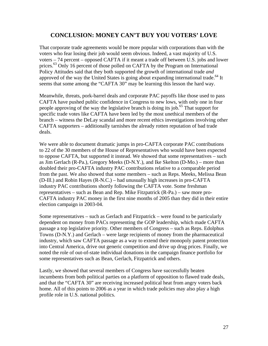## **CONCLUSION: MONEY CAN'T BUY YOU VOTERS' LOVE**

That corporate trade agreements would be more popular with corporations than with the voters who fear losing their job would seem obvious. Indeed, a vast majority of U.S. voters – 74 percent – opposed CAFTA if it meant a trade off between U.S. jobs and lower prices.<sup>63</sup> Only 16 percent of those polled on CAFTA by the Program on International Policy Attitudes said that they both supported the growth of international trade *and*  approved of the way the United States is going about expanding international trade.<sup>64</sup> It seems that some among the "CAFTA 30" may be learning this lesson the hard way.

Meanwhile, threats, pork-barrel deals and corporate PAC payoffs like those used to pass CAFTA have pushed public confidence in Congress to new lows, with only one in four people approving of the way the legislative branch is doing its job.<sup>65</sup> That support for specific trade votes like CAFTA have been led by the most unethical members of the branch – witness the DeLay scandal and more recent ethics investigations involving other CAFTA supporters – additionally tarnishes the already rotten reputation of bad trade deals.

We were able to document dramatic jumps in pro-CAFTA corporate PAC contributions to 22 of the 30 members of the House of Representatives who would have been expected to oppose CAFTA, but supported it instead. We showed that some representatives – such as Jim Gerlach (R-Pa.), Gregory Meeks (D-N.Y.), and Ike Skelton (D-Mo.) – more than doubled their pro-CAFTA industry PAC contributions relative to a comparable period from the past. We also showed that some members – such as Reps. Meeks, Melissa Bean (D-Ill.) and Robin Hayes (R-N.C.) – had unusually high increases in pro-CAFTA industry PAC contributions shortly following the CAFTA vote. Some freshman representatives – such as Bean and Rep. Mike Fitzpatrick (R-Pa.) – saw more pro-CAFTA industry PAC money in the first nine months of 2005 than they did in their entire election campaign in 2003-04.

Some representatives – such as Gerlach and Fitzpatrick – were found to be particularly dependent on money from PACs representing the GOP leadership, which made CAFTA passage a top legislative priority. Other members of Congress – such as Reps. Edolphus Towns (D-N.Y.) and Gerlach – were large recipients of money from the pharmaceutical industry, which saw CAFTA passage as a way to extend their monopoly patent protection into Central America, drive out generic competition and drive up drug prices. Finally, we noted the role of out-of-state individual donations in the campaign finance portfolio for some representatives such as Bean, Gerlach, Fitzpatrick and others.

Lastly, we showed that several members of Congress have successfully beaten incumbents from both political parties on a platform of opposition to flawed trade deals, and that the "CAFTA 30" are receiving increased political heat from angry voters back home. All of this points to 2006 as a year in which trade policies may also play a high profile role in U.S. national politics.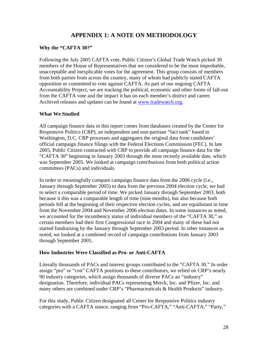## **APPENDIX 1: A NOTE ON METHODOLOGY**

#### **Why the "CAFTA 30?"**

Following the July 2005 CAFTA vote, Public Citizen's Global Trade Watch picked 30 members of the House of Representatives that we considered to be the most improbable, unacceptable and inexplicable votes for the agreement. This group consists of members from both parties from across the country, many of whom had publicly stated CAFTA opposition or committed to vote against CAFTA. As part of our ongoing CAFTA Accountability Project, we are tracking the political, economic and other forms of fall-out from the CAFTA vote and the impact it has on each member's district and career. Archived releases and updates can be found at [www.tradewatch.org.](http://www.tradewatch.org/)

#### **What We Studied**

All campaign finance data in this report comes from databases created by the Center for Responsive Politics (CRP), an independent and non-partisan "fact tank" based in Washington, D.C. CRP processes and aggregates the original data from candidates' official campaign finance filings with the Federal Elections Commission (FEC). In late 2005, Public Citizen contracted with CRP to provide all campaign finance data for the "CAFTA 30" beginning in January 2003 through the most recently available date, which was September 2005. We looked at campaign contributions from both political action committees (PACs) and individuals.

In order to meaningfully compare campaign finance data from the 2006 cycle (i.e., January through September 2005) to data from the previous 2004 election cycle, we had to select a comparable period of time. We picked January through September 2003, both because it this was a comparable length of time (nine months), but also because both periods fell at the beginning of their respective election cycles, and are equidistant in time from the November 2004 and November 2006 election dates. In some instances as noted, we accounted for the incumbency status of individual members of the "CAFTA 30," as certain members had their first Congressional race in 2004 and many of these had not started fundraising by the January through September 2003 period. In other instances as noted, we looked at a combined record of campaign contributions from January 2003 through September 2005.

## **How Industries Were Classified as Pro- or Anti-CAFTA**

Literally thousands of PACs and interest groups contributed to the "CAFTA 30." In order assign "pro" or "con" CAFTA positions to these contributors, we relied on CRP's nearly 90 industry categories, which assign thousands of diverse PACs an "industry" designation. Therefore, individual PACs representing Merck, Inc. and Pfizer, Inc. and many others are combined under CRP's "Pharmaceuticals & Health Products" industry.

For this study, Public Citizen designated all Center for Responsive Politics industry categories with a CAFTA stance, ranging from "Pro-CAFTA," "Anti-CAFTA," "Party,"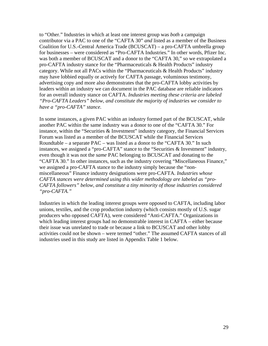to "Other." Industries in which at least one interest group was *both* a campaign contributor via a PAC to one of the "CAFTA 30" *and* listed as a member of the Business Coalition for U.S.-Central America Trade (BCUSCAT) – a pro-CAFTA umbrella group for businesses – were considered as "Pro-CAFTA Industries." In other words, Pfizer Inc. was both a member of BCUSCAT and a donor to the "CAFTA 30," so we extrapolated a pro-CAFTA industry stance for the "Pharmaceuticals & Health Products" industry category. While not all PACs within the "Pharmaceuticals & Health Products" industry may have lobbied equally or actively for CAFTA passage, voluminous testimony, advertising copy and more also demonstrates that the pro-CAFTA lobby activities by leaders within an industry we can document in the PAC database are reliable indicators for an overall industry stance on CAFTA. *Industries meeting these criteria are labeled "Pro-CAFTA Leaders" below, and constitute the majority of industries we consider to have a "pro-CAFTA" stance.*

In some instances, a given PAC within an industry formed part of the BCUSCAT, while another PAC within the same industry was a donor to one of the "CAFTA 30." For instance, within the "Securities & Investment" industry category, the Financial Services Forum was listed as a member of the BCUSCAT while the Financial Services Roundtable – a separate PAC – was listed as a donor to the "CAFTA 30." In such instances, we assigned a "pro-CAFTA" stance to the "Securities & Investment" industry, even though it was not the *same* PAC belonging to BCUSCAT and donating to the "CAFTA 30." In other instances, such as the industry covering "Miscellaneous Finance," we assigned a pro-CAFTA stance to the industry simply because the "nonmiscellaneous" Finance industry designations were pro-CAFTA. *Industries whose CAFTA stances were determined using this wider methodology are labeled as "pro-CAFTA followers" below, and constitute a tiny minority of those industries considered "pro-CAFTA."*

Industries in which the leading interest groups were opposed to CAFTA, including labor unions, textiles, and the crop production industry (which consists mostly of U.S. sugar producers who opposed CAFTA), were considered "Anti-CAFTA." Organizations in which leading interest groups had no demonstrable interest in CAFTA – either because their issue was unrelated to trade or because a link to BCUSCAT and other lobby activities could not be shown – were termed "other." The assumed CAFTA stances of all industries used in this study are listed in Appendix Table 1 below.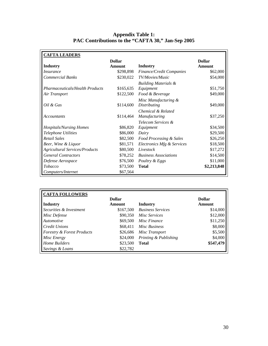#### **Appendix Table 1: PAC Contributions to the "CAFTA 30," Jan-Sep 2005**

| <b>CAFTA LEADERS</b>                                    |                        |                                                                 |                      |
|---------------------------------------------------------|------------------------|-----------------------------------------------------------------|----------------------|
|                                                         | <b>Dollar</b>          |                                                                 | <b>Dollar</b>        |
| <b>Industry</b>                                         | Amount                 | Industry                                                        | Amount               |
| <i>Insurance</i>                                        | \$298,898              | Finance/Credit Companies                                        | \$62,000             |
| <b>Commercial Banks</b>                                 | \$230,022              | TV/Movies/Music                                                 | \$54,000             |
| <b>Pharmaceuticals/Health Products</b><br>Air Transport | \$165,635<br>\$122,500 | <b>Building Materials &amp;</b><br>Equipment<br>Food & Beverage | \$51,750<br>\$49,000 |
| Oil & Gas                                               | \$114,600              | Misc Manufacturing &<br><b>Distributing</b>                     | \$49,000             |
| <b>Accountants</b>                                      | \$114,464              | Chemical & Related<br>Manufacturing                             | \$37,250             |
|                                                         |                        | Telecom Services &                                              |                      |
| <b>Hospitals/Nursing Homes</b>                          | \$86,820               | Equipment                                                       | \$34,500             |
| Telephone Utilities                                     | \$86,000               | Dairy                                                           | \$29,500             |
| <b>Retail Sales</b>                                     | \$82,500               | <b>Food Processing &amp; Sales</b>                              | \$26,250             |
| Beer, Wine & Liquor                                     | \$81,571               | Electronics Mfg & Services                                      | \$18,500             |
| <b>Agricultural Services/Products</b>                   | \$80,500               | Livestock                                                       | \$17,272             |
| <b>General Contractors</b>                              | \$78,252               | <b>Business Associations</b>                                    | \$14,500             |
| Defense Aerospace                                       | \$76,500               | Poultry & Eggs                                                  | \$11,000             |
| <b>Tobacco</b>                                          | \$73,500               | <b>Total</b>                                                    | \$2,213,848          |
| Computers/Internet                                      | \$67,564               |                                                                 |                      |

| <b>CAFTA FOLLOWERS</b>                |               |                          |               |
|---------------------------------------|---------------|--------------------------|---------------|
|                                       | <b>Dollar</b> |                          | <b>Dollar</b> |
| <b>Industry</b>                       | Amount        | Industry                 | Amount        |
| Securities & Investment               | \$167,500     | <b>Business Services</b> | \$14,000      |
| Misc Defense                          | \$90,350      | Misc Services            | \$12,000      |
| Automotive                            | \$69,500      | Misc Finance             | \$11,250      |
| <b>Credit Unions</b>                  | \$68,411      | Misc Business            | \$8,000       |
| <b>Forestry &amp; Forest Products</b> | \$26,686      | Misc Transport           | \$5,500       |
| Misc Energy                           | \$24,000      | Printing & Publishing    | \$4,000       |
| <b>Home Builders</b>                  | \$23,500      | <b>Total</b>             | \$547,479     |
| Savings & Loans                       | \$22,782      |                          |               |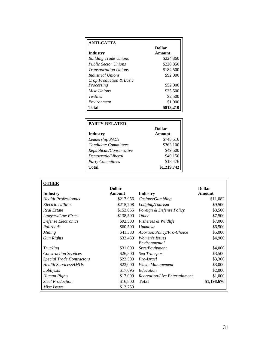| <b>ANTI-CAFTA</b>            |               |
|------------------------------|---------------|
|                              | <b>Dollar</b> |
| Industry                     | Amount        |
| <b>Building Trade Unions</b> | \$224,860     |
| <b>Public Sector Unions</b>  | \$220,850     |
| <b>Transportation Unions</b> | \$184,500     |
| Industrial Unions            | \$92,000      |
| Crop Production & Basic      |               |
| Processing                   | \$52,000      |
| Misc Unions                  | \$35,500      |
| <i>Textiles</i>              | \$2,500       |
| Environment                  | \$1,000       |
| Total                        | \$813.210     |

| <b>PARTY-RELATED</b>        |             |
|-----------------------------|-------------|
|                             | Dollar      |
| <b>Industry</b>             | Amount      |
| Leadership PACs             | \$748,516   |
| <b>Candidate Committees</b> | \$363,100   |
| Republican/Conservative     | \$49,500    |
| Democratic/Liberal          | \$40,150    |
| <b>Party Committees</b>     | \$18,476    |
| Total                       | \$1,219,742 |

| U.<br>۷ |
|---------|
|         |

|                                  | <b>Dollar</b> |                                     | <b>Dollar</b> |
|----------------------------------|---------------|-------------------------------------|---------------|
| <b>Industry</b>                  | Amount        | Industry                            | Amount        |
| <b>Health Professionals</b>      | \$217,956     | Casinos/Gambling                    | \$11,082      |
| <b>Electric Utilities</b>        | \$215,708     | Lodging/Tourism                     | \$9,500       |
| Real Estate                      | \$153,655     | <i>Foreign &amp; Defense Policy</i> | \$8,500       |
| Lawyers/Law Firms                | \$138,500     | <i>Other</i>                        | \$7,500       |
| Defense Electronics              | \$92,500      | Fisheries & Wildlife                | \$7,000       |
| Railroads                        | \$60,500      | Unknown                             | \$6,500       |
| Mining                           | \$41,380      | <b>Abortion Policy/Pro-Choice</b>   | \$5,000       |
| <b>Gun Rights</b>                | \$32,450      | <i>Women's Issues</i>               | \$4,900       |
|                                  |               | Environmental                       |               |
| <b>Trucking</b>                  | \$31,000      | Svcs/Equipment                      | \$4,000       |
| <b>Construction Services</b>     | \$26,500      | Sea Transport                       | \$3,500       |
| <b>Special Trade Contractors</b> | \$23,500      | Pro-Israel                          | \$3,300       |
| <b>Health Services/HMOs</b>      | \$23,000      | Waste Management                    | \$3,000       |
| Lobbyists                        | \$17,695      | Education                           | \$2,000       |
| Human Rights                     | \$17,000      | Recreation/Live Entertainment       | \$1,000       |
| <b>Steel Production</b>          | \$16,800      | <b>Total</b>                        | \$1,198,676   |
| Misc Issues                      | \$13,750      |                                     |               |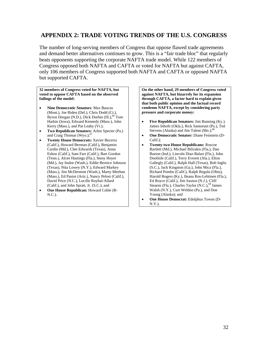## **APPENDIX 2: TRADE VOTING TRENDS OF THE U.S. CONGRESS**

The number of long-serving members of Congress that oppose flawed trade agreements and demand better alternatives continues to grow. This is a "fair trade bloc" that regularly beats opponents supporting the corporate NAFTA trade model. While 122 members of Congress opposed both NAFTA and CAFTA or voted for NAFTA but against CAFTA, only 106 members of Congress supported both NAFTA and CAFTA or opposed NAFTA but supported CAFTA.

**32 members of Congress voted for NAFTA, but voted to oppose CAFTA based on the observed failings of the model:** 

- **Nine Democratic Senators**: Max Baucus (Mont.), Joe Biden (Del.), Chris Dodd (Ct.), Byron Dorgan (N.D.), Dick Durbin (Ill.),<sup>66</sup> Tom Harkin (Iowa), Edward Kennedy (Mass.), John Kerry (Mass.), and Pat Leahy (Vt.);
- **Two Republican Senators:** Arlen Specter (Pa.) and Craig Thomas  $(Wyo.);^{67}$
- **Twenty House Democrats:** Xavier Becerra (Calif.), Howard Berman (Calif.), Benjamin Cardin (Md.), Chet Edwards (Texas), Anna Eshoo (Calif.), Sam Farr (Calif.), Bart Gordon (Tenn.), Alcee Hastings (Fla.), Steny Hoyer (Md.), Jay Inslee (Wash.), Eddie Bernice Johnson (Texas), Nita Lowey (N.Y.), Edward Markey (Mass.), Jim McDermott (Wash.), Marty Meehan (Mass.), Ed Pastor (Ariz.), Nancy Pelosi (Calif.), David Price (N.C.), Lucille Roybal-Allard (Calif.), and John Spratt, Jr. (S.C.); and
- **One House Republican:** Howard Coble (R-N.C.).

**On the other hand, 29 members of Congress voted against NAFTA, but bizarrely for its expansion through CAFTA, a factor hard to explain given that both public opinion and the factual record condemn NAFTA, except by considering party pressure and corporate money:**

- **Five Republican Senators:** Jim Bunning (Ky.). James Inhofe (Okla.), Rick Santorum (Pa.), Ted Stevens (Alaska) and Jim Talent (Mo.);<sup>[68](#page-35-32)</sup>
- **One Democratic Senator:** Diane Feinstein (D-Calif.);
- **Twenty-two House Republicans:** Roscoe Bartlett (Md.), Michael Bilirakis (Fla.), Dan Burton (Ind.), Lincoln Diaz-Balart (Fla.), John Doolittle (Calif.), Terry Everett (Ala.), Elton Gallegly (Calif.), Ralph Hall (Texas), Bob Inglis (S.C.), Jack Kingston (Ga.), John Mica (Fla.), Richard Pombo (Calif.), Ralph Regula (Ohio), Harold Rogers (Ky.), Ileana Ros-Lehtinen (Fla.), Ed Royce (Calif.), Jim Saxton (N.J.), Cliff Stearns (Fla.), Charles Taylor (N.C.),<sup>69</sup> James Walsh (N.Y.), Curt Weldon (Pa.), and Don Young (Alaska); and
- **One House Democrat:** Edolphus Towns (D-N.Y.).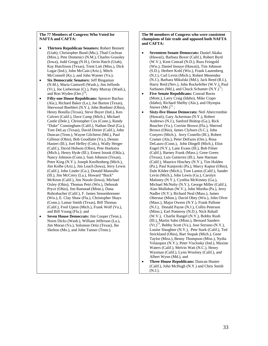#### **The 77 Members of Congress Who Voted for NAFTA and CAFTA:**

- **Thirteen Republican Senators:** Robert Bennett (Utah), Christopher Bond (Mo.), Thad Cochran (Miss.), Pete Domenici (N.M.), Charles Grassley (Iowa), Judd Gregg (N.H.), Orrin Hatch (Utah), Kay Hutchison (Texas), Trent Lott (Miss.), Dick Lugar (Ind.), John McCain (Ariz.), Mitch McConnell (Ky.), and John Warner (Va.);
- **Six Democratic Senators:** Jeff Bingaman (N.M.), Maria Cantwell (Wash.), Jim Jeffords (Vt.), Joe Lieberman (Ct.), Patty Murray (Wash.), and Ron Wyden  $(Ore.)^{70}$ ;
- **Fifty-one House Republicans:** Spencer Bachus (Ala.), Richard Baker (La.), Joe Barton (Texas), Sherwood Boehlert (N.Y.), John Boehner (Ohio), Henry Bonilla (Texas), Steve Buyer (Ind.), Ken Calvert (Calif.), Dave Camp (Mich.), Michael Castle (Dele.), Christopher Cox (Conn.), Randy "Duke" Cunningham (Calif.), Nathan Deal (Ga.), Tom DeLay (Texas), David Dreier (Calif.), John Duncan (Tenn.), Wayne Gilchrest (Md.), Paul Gillmor (Ohio), Bob Goodlatte (Va.), Dennis Hastert (Ill.), Joel Hefley (Colo.), Wally Herger (Calif.), David Hobson (Ohio), Pete Hoekstra (Mich.), Henry Hyde (Ill.), Ernest Istook (Okla.), Nancy Johnson (Conn.), Sam Johnson (Texas), Peter King (N.Y.), Joseph Knollenberg (Mich.), Jim Kolbe (Ariz.), Jim Leach (Iowa), Jerry Lewis (Calif.), John Linder (Ga.), Donald Manzullo (Ill.), Jim McCrery (La.), Howard "Buck" McKeon (Calif.), Jim Nussle (Iowa), Michael Oxley (Ohio), Thomas Petri (Wis.), Deborah Pryce (Ohio), Jim Ramstad (Minn.), Dana Rohrabacher (Calif.), F. James Sensenbrenner (Wis.), E. Clay Shaw (Fla.), Christopher Shays (Conn.), Lamar Smith (Texas), Bill Thomas (Calif.), Fred Upton (Mich.), Frank Wolf (Va.), and Bill Young (Fla.); and
- **Seven House Democrats:** Jim Cooper (Tenn.), Norm Dicks (Wash.), William Jefferson (La.), Jim Moran (Va.), Solomon Ortiz (Texas), Ike Skelton (Mo.), and John Tanner (Tenn.).

#### **The 90 members of Congress who were consistent champions of fair trade and opposed both NAFTA and CAFTA:**

- **Seventeen Senate Democrats:** Daniel Akaka (Hawaii), Barbara Boxer (Calif.), Robert Byrd (W.V.), Kent Conrad (N.D.), Russ Feingold (Wis.), Daniel Inouye (Hawaii), Tim Johnson (S.D.), Herbert Kohl (Wis.), Frank Lautenberg (N.J.), Carl Levin (Mich.), Robert Menendez (N.J.), Barbara Mikulski (Md.), Jack Reed (R.I.), Harry Reid (Nev.), John Rockefeller (W.V.), Paul Sarbanes (Md.), and Chuck Schumer  $(N.Y.)<sup>71</sup>$ ;
- **Five Senate Republicans:** Conrad Burns (Mont.), Larry Craig (Idaho), Mike Crapo (Idaho), Richard Shelby (Ala.), and Olympia Snowe  $(Me.)^{72}$  ;
- **Sixty-five House Democrats:** Neil Abercrombie (Hawaii), Gary Ackerman (N.Y.), Robert Andrews (N.J.), Sanford Bishop (Ga.), Rick Boucher (Va.), Corrine Brown (Fla.), Sherrod Brown (Ohio), James Clyburn (S.C.), John Conyers (Mich.), Jerry Costello (Ill.), Robert Cramer (Ala.), Peter DeFazio (Ore.), Rosa DeLauro (Conn.), John Dingell (Mich.), Eliot Engel (N.Y.), Lane Evans (Ill.), Bob Filner (Calif.), Barney Frank (Mass.), Gene Green (Texas), Luis Gutierrez (Ill.), Jane Harman (Calif.), Maurice Hinchey (N.Y.), Tim Holden (Pa.), Paul Kanjorski (Pa.), Marcy Kaptur (Ohio), Dale Kildee (Mich.), Tom Lantos (Calif.), Sander Levin (Mich.), John Lewis (Ga.), Carolyn Maloney (N.Y.), Cynthia McKinney (Ga.), Michael McNulty (N.Y.), George Miller (Calif.), Alan Mollohan (W.V.), John Murtha (Pa.), Jerry Nadler (N.Y.), Richard Neal (Mass.), James Oberstar (Minn.), David Obey (Wis.), John Olver (Mass.), Major Owens (N.Y.), Frank Pallone (N.J.), Donald Payne (N.J.), Collin Peterson (Minn.), Earl Pomeroy (N.D.), Nick Rahall (W.V.), Charlie Rangel (N.Y.), Bobby Rush (Ill.), Martin Sabo (Minn.), Bernard Sanders  $(Vt.)$ <sup>73</sup>, Bobby Scott (Va.), Jose Serrano (N.Y.), Louise Slaughter (N.Y.), Pete Stark (Calif.), Ted Strickland (Ohio), Bart Stupak (Mich.), Gene Taylor (Miss.), Benny Thompson (Miss.), Nydia Velazquez (N.Y.), Peter Visclosky (Ind.), Maxine Waters (Calif.), Melvin Watt (N.C.), Henry Waxman (Calif.), Lynn Woolsey (Calif.), and Albert Wynn (Md.), and
- **Three House Republicans:** Duncan Hunter (Calif.), John McHugh (N.Y.) and Chris Smith (N.J.).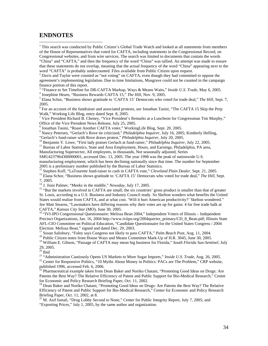## **ENDNOTES**

 $\overline{a}$ 

<sup>1</sup> This search was conducted by Public Citizen's Global Trade Watch and looked at all statements from members of the House of Representatives that voted for CAFTA, including statements in the Congressional Record, on Congressional websites, and from wire services. The search was limited to documents that contain the words "China" and "CAFTA," and then the frequency of the word "China" was tallied. An attempt was made to ensure that these statements do not overlap, meaning that the actual frequency of the word "China" appearing next to the

word "CAFTA" is probably undercounted. Files available from Public Citizen upon request. <sup>2</sup>

<sup>2</sup> Davis and Taylor were counted as "not voting" on CAFTA, even though they had committed to oppose the agreement's implementing legislation. Due to time limitations, Musgrave could not be counted in the campaign finance portion of this report.

<sup>3</sup> "Finance to Set Timeline for DR-CAFTA Markup, Ways & Means Waits," *Inside U.S. Trade*, May 6, 2005.

<sup>4</sup> Josephine Hearn, "Business Rewards CAFTA 15," *The Hill*, Nov. 9, 2005.

<sup>5</sup> Elana Schor, "Business shows gratitude to 'CAFTA 15' Democrats who voted for trade deal," *The Hill*, Sept. 7, 2005.

6 For an account of the fundraiser and associated protests, *see* Jonathan Tasini, "The CAFTA 15 Skip the Perp Walk," Working Life Blog, entry dated Sept. 8, 2005.

<sup>7</sup> Vice President Richard B. Cheney, "Vice President's Remarks at a Luncheon for Congressman Tim Murphy," Office of the Vice President News Release, July 25, 2005.

<sup>8</sup> Jonathan Tasini, "Roast Another CAFTA voter," WorkingLife Blog, Sept. 20, 2005.

<sup>9</sup> Nancy Petersen, "Gerlach's Rove tie criticized," *Philadelphia Inquirer*, July 16, 2005; Kimberly Hefling, "Gerlach's fund-raiser with Rove draws protest," *Philadelphia Inquirer*, July 20, 2005.

10<br>Benjamin Y. Lowe, "First lady praises Gerlach at fund-raiser," *Philadelphia Inquirer*, July 22, 2005.<br><sup>11</sup> Bureau of Labor Statistics, State and Area Employment, Hours, and Earnings, Philadelphia, PA area,

Manufacturing Supersector, All employees, in thousands, Not seasonally adjusted, Series

SMU4237964300000001, accessed Dec. 13, 2005. The year 1998 was the peak of nationwide U.S. manufacturing employment, which has been declining nationally since that time. The number for September

2005 is a preliminary number published by the Bureau of Labor Statistics.<br><sup>12</sup> Stephen Koff, "LaTourette fund-raiser to cash in CAFTA vote," *Cleveland Plain Dealer*, Sept. 21, 2005.<br><sup>13</sup> Elana Schor, "Business shows grati 7, 2005.<br><sup>14</sup> J. Jioni Palmer, "Meeks in the middle," Newsday, July 17, 2005.

<sup>15</sup> "But the markets involved in CAFTA are small; the six countries' gross product is smaller than that of greater St. Louis, according to a U.S. Business and Industry Council study. So Skelton wonders what benefits the United States would realize from CAFTA, and at what cost. 'Will it hurt American productivity?' Skelton wondered." *See* Matt Stearns, "Lawmakers have differing reasons why their votes are up for gains: 4 for free trade balk at CAFTA," *Kansas City Star* (MO), June 30, 2005.<br><sup>16</sup> "IVI-IPO Congressional Questionnaire: Melissa Bean 2004," Independent Voters of Illinois – Independent

Precinct Organizations, Jan. 16, 2004 http://www.iviipo.org/2004queries\_primary/CD\_8\_Bean.pdf; Illinois State AFL-CIO Committee on Political Education, "Candidate Questionnaire for the United States Congress / 2004

Election: Melissa Bean," signed and dated Dec. 29, 2003.<br><sup>17</sup> Susan Salisbury, "Foley says Congress not likely to pass CAFTA," *Palm Beach Post*, Aug. 11, 2004.<br><sup>18</sup> Public Citizen notes from House Ways and Means Committee 29, 2005.

 $20$  Ibid

<sup>21</sup> "Administration Cautiously Opens US Markets to More Sugar Imports," *Inside U.S. Trade*, Aug. 26, 2005.<br><sup>22</sup> Center for Responsive Politics, "10 Myths About Money in Politics: PACs are The Problem," CRP website, published 1996, accessed Feb. 6, 2006.<br><sup>23</sup> Pharmaceutical example taken from Dean Baker and Noriko Chatani, "Promoting Good Ideas on Drugs: Are

Patents the Best Way? The Relative Efficiency of Patent and Public Support for Bio-Medical Research," Center for Economic and Policy Research Briefing Paper, Oct. 11, 2002.

<sup>24</sup> Dean Baker and Noriko Chatani, "Promoting Good Ideas on Drugs: Are Patents the Best Way? The Relative Efficiency of Patent and Public Support for Bio-Medical Research," Center for Economic and Policy Research Briefing Paper, Oct. 11, 2002, at 8.<br><sup>25</sup> M. Asif Ismail, "Drug Lobby Second to None," Center for Public Integrity Report, July 7, 2005; and

"Exporting Prices," July 1, 2005, by the same author and organization.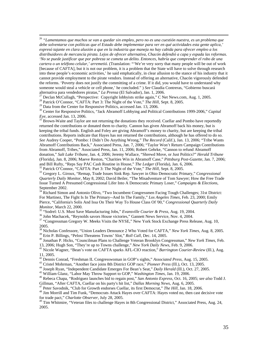26 *"Lamentamos que muchos se van a quedar sin empleo, pero no es una cuestión nuestra, es un problema que debe solventarse con políticas que el Estado debe implementar para ver en qué actividades esta gente aplica,' expresó tajante en clara alusión a que en la industria que maneja no hay cabida para ofrecer empleo a los distribuidores de mercancía pirata. Lejos de ofrecer alternativa, Chacón defendió a capa y espada las reformas. 'No se puede justificar que por pobreza se cometa un delito. Entonces, habría que comprender el robo de una cartera o un teléfono celular,' arremetió.* (Translation: "'We're very sorry that many people will be out of work [because of CAFTA], but it is not our problem, it is a problem that the State will have to solve through research into these people's economic activities,' he said emphatically, in clear allusion to the stance of his industry that it cannot provide employment to the pirate vendors. Instead of offering an alternative, Chacón vigorously defended the reforms. 'Poverty does not justify the committing of a crime. If it did, you would have to understand why someone would steal a vehicle or cell phone,' he concluded." ) *See* Claudia Contreras, "Gobierno buscará alternativa para vendedores piratas," *La Prensa* (El Salvador), Jan. 1, 2006.

<sup>27</sup> Declan McCullagh, "Perspective: Copyright lobbyists strike again," C Net News.com, Aug. 1, 2005.<br><sup>28</sup> Patrick O'Connor, "CAFTA: Part 3: The Night of the Vote," *The Hill*, Sept. 8, 2005.<br><sup>29</sup> Data from the Center for

<sup>31</sup> Brown-Waite and Taylor are not returning the donations they received. Cuellar and Pombo have reportedly returned the contributions or donated them to charity. Cannon has given Abramoff back his money, but is keeping the tribal funds. English and Foley are giving Abramoff's money to charity, but are keeping the tribal contributions. Reports indicate that Hayes has not returned the contributions, although he has offered to do so. *See* Audrey Cooper, "Pombo: I Didn't Do Anything Wrong," *The Record* (Calif.), Jan. 13, 2006; "Tribe Wants Abramoff Contributions Back," Associated Press, Jan. 7, 2006; "Taylor Won't Return Campaign Contributions from Abramoff, Tribes," Associated Press, Jan. 11, 2006; Robert Gehrke, "Cannon to refund Abramoff donation," *Salt Lake Tribune,* Jan. 4, 2006; Jeremy Wallace, "Shrewd Move, or Just Politics?" *Herald Tribune*  (Florida), Jan. 8, 2006; Maeve Reston, "Charities Win in Abramoff Case," *Pittsburg Post-Gazette,* Jan. 7, 2006; and Bill Rufty, "Reps Say PAC Cash Routine in House," The Ledger (Florida), Jan. 6, 2006.<br><sup>32</sup> Patrick O'Connor, "CAFTA: Part 3: The Night of the Vote," The Hill, Sept. 8, 2005.<br><sup>33</sup> Gregory L. Giroux, "Remap, Trade Issues

*Quarterly Daily Monitor*, May 8, 2002; David Beiler, "The Misadventure of Tom Sawyer; How the Free Trade Issue Turned A Presumed Congressional Lifer Into A Democratic Primary Loser," *Campaigns & Elections*,

<sup>34</sup> Richard Simon and Antonio Olivo, "Two Incumbent Congressmen Facing Tough Challenges; 31st District: For Martinez, The Fight Is In The Primary--And In The Family," *Los Angeles Times*, Feb. 23, 2000; Emily Pierce, "California's Solis And Issa On Their Way To House Class Of '00," *Congressional Quarterly Daily*

<sup>35</sup> "Sodrel: U.S. Must Save Manufacturing Jobs," *Evansville Courier & Press*, Aug. 19, 2004.<br><sup>36</sup> John Machacek, "Reynolds savors House victories," Gannett News Service, Nov. 4, 2004.<br><sup>37</sup> "Congressman Gregory W. Meeks

2005.<br><sup>38</sup> Nicholas Confessore, "Union Leaders Denounce 2 Who Voted for CAFTA," New York Times, Aug. 8, 2005.

<sup>39</sup> Erin P. Billings, "Pelosi Threatens Towns' Slot," *Roll Call*, Dec. 14, 2005.<br><sup>40</sup> Jonathan P. Hicks, "Councilman Plans to Challenge Veteran Brooklyn Congressman," *New York Times*, Feb. 13, 2006; Hugh Son, "They're u

<sup>41</sup> Nicole Wagner, "Bean's vote on CAFTA sparks AFL-CIO reaction," *Barrington Courier-Review (Ill.)*, Aug. 11, 2005.<br><sup>42</sup> Dennis Conrad, "Freshman IL Congresswoman in GOP's sights," Associated Press, Aug. 15, 2005.

<sup>43</sup> Cristel Mohrman, "Another face joins 8th District GOP race," *Pioneer Press* (Ill.), Oct. 13, 2005.<br><sup>44</sup> Joseph Ryan, "Independent Candidate Emerges For Bean's Seat," *Daily Herald* (Ill.), Oct. 27, 2005.<br><sup>45</sup> Willia

Gillman, "After CAFTA, Cuellar on his party's hit list," *Dallas Morning News*, Aug. 6, 2005.<br><sup>47</sup> Peter Savodnik, "Club for Growth endorses Cuellar, its first Democrat," *The Hill*, Jan. 18, 2006.<br><sup>48</sup> Jim Morrill and Tim for trade pact," *Charlotte Observer,* July 28, 2005. 49 Tim Whitmire, "Veteran files to challenge Hayes in 8th Congressional District," Associated Press, Aug. 24,

2005.